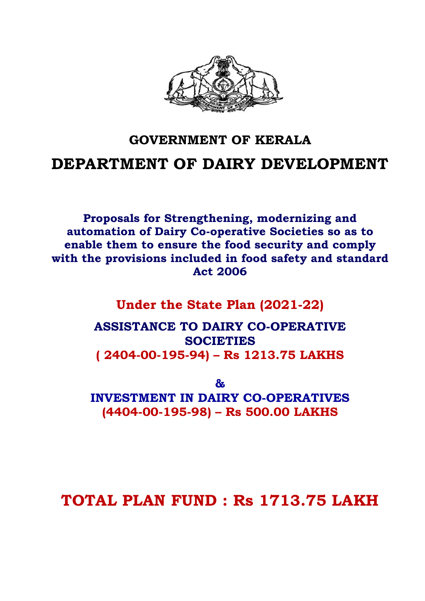

## **GOVERNMENT OF KERALA DEPARTMENT OF DAIRY DEVELOPMENT**

**Proposals for Strengthening, modernizing and automation of Dairy Co-operative Societies so as to enable them to ensure the food security and comply with the provisions included in food safety and standard Act 2006**

**Under the State Plan (2021-22)** 

## **ASSISTANCE TO DAIRY CO-OPERATIVE SOCIETIES ( 2404-00-195-94) – Rs 1213.75 LAKHS**

**&**

**INVESTMENT IN DAIRY CO-OPERATIVES (4404-00-195-98) – Rs 500.00 LAKHS**

## **TOTAL PLAN FUND : Rs 1713.75 LAKH**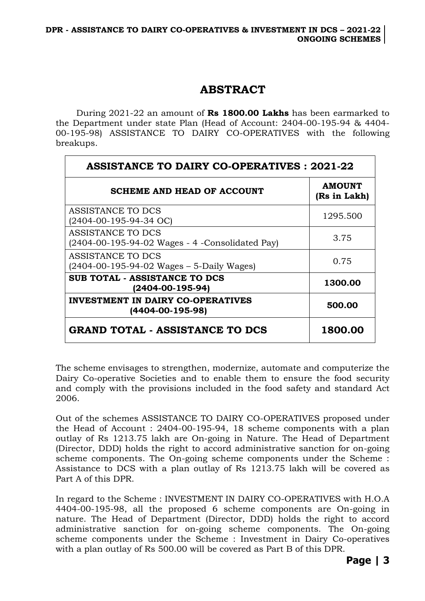## **ABSTRACT**

During 2021-22 an amount of **Rs 1800.00 Lakhs** has been earmarked to the Department under state Plan (Head of Account: 2404-00-195-94 & 4404- 00-195-98) ASSISTANCE TO DAIRY CO-OPERATIVES with the following breakups.

| <b>ASSISTANCE TO DAIRY CO-OPERATIVES : 2021-22</b>                              |                               |  |  |  |  |  |
|---------------------------------------------------------------------------------|-------------------------------|--|--|--|--|--|
| <b>SCHEME AND HEAD OF ACCOUNT</b>                                               | <b>AMOUNT</b><br>(Rs in Lakh) |  |  |  |  |  |
| ASSISTANCE TO DCS<br>$(2404 - 00 - 195 - 94 - 34)$ OC)                          | 1295.500                      |  |  |  |  |  |
| ASSISTANCE TO DCS<br>$(2404 - 00 - 195 - 94 - 02$ Wages - 4 - Consolidated Pay) | 3.75                          |  |  |  |  |  |
| ASSISTANCE TO DCS<br>$(2404 - 00 - 195 - 94 - 02$ Wages $-5$ -Daily Wages)      | 0.75                          |  |  |  |  |  |
| SUB TOTAL - ASSISTANCE TO DCS<br>(2404-00-195-94)                               | 1300.00                       |  |  |  |  |  |
| <b>INVESTMENT IN DAIRY CO-OPERATIVES</b><br>(4404-00-195-98)                    | 500.00                        |  |  |  |  |  |
| <b>GRAND TOTAL - ASSISTANCE TO DCS</b>                                          | 1800.00                       |  |  |  |  |  |

The scheme envisages to strengthen, modernize, automate and computerize the Dairy Co-operative Societies and to enable them to ensure the food security and comply with the provisions included in the food safety and standard Act 2006.

Out of the schemes ASSISTANCE TO DAIRY CO-OPERATIVES proposed under the Head of Account : 2404-00-195-94, 18 scheme components with a plan outlay of Rs 1213.75 lakh are On-going in Nature. The Head of Department (Director, DDD) holds the right to accord administrative sanction for on-going scheme components. The On-going scheme components under the Scheme : Assistance to DCS with a plan outlay of Rs 1213.75 lakh will be covered as Part A of this DPR.

In regard to the Scheme : INVESTMENT IN DAIRY CO-OPERATIVES with H.O.A 4404-00-195-98, all the proposed 6 scheme components are On-going in nature. The Head of Department (Director, DDD) holds the right to accord administrative sanction for on-going scheme components. The On-going scheme components under the Scheme : Investment in Dairy Co-operatives with a plan outlay of Rs 500.00 will be covered as Part B of this DPR.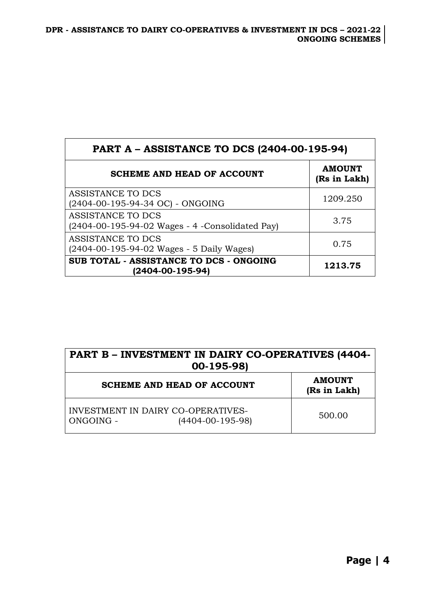| PART A - ASSISTANCE TO DCS (2404-00-195-94)                                     |                               |  |  |  |  |  |
|---------------------------------------------------------------------------------|-------------------------------|--|--|--|--|--|
| <b>SCHEME AND HEAD OF ACCOUNT</b>                                               | <b>AMOUNT</b><br>(Rs in Lakh) |  |  |  |  |  |
| ASSISTANCE TO DCS<br>(2404-00-195-94-34 OC) - ONGOING                           | 1209.250                      |  |  |  |  |  |
| ASSISTANCE TO DCS<br>$(2404 - 00 - 195 - 94 - 02$ Wages - 4 - Consolidated Pay) | 3.75                          |  |  |  |  |  |
| ASSISTANCE TO DCS<br>(2404-00-195-94-02 Wages - 5 Daily Wages)                  | 0.75                          |  |  |  |  |  |
| SUB TOTAL - ASSISTANCE TO DCS - ONGOING<br>(2404-00-195-94)                     | 1213.75                       |  |  |  |  |  |

| <b>PART B - INVESTMENT IN DAIRY CO-OPERATIVES (4404-</b><br>00-195-98)      |                               |  |  |  |  |
|-----------------------------------------------------------------------------|-------------------------------|--|--|--|--|
| <b>SCHEME AND HEAD OF ACCOUNT</b>                                           | <b>AMOUNT</b><br>(Rs in Lakh) |  |  |  |  |
| INVESTMENT IN DAIRY CO-OPERATIVES-<br>ONGOING -<br>$(4404 - 00 - 195 - 98)$ | 500.00                        |  |  |  |  |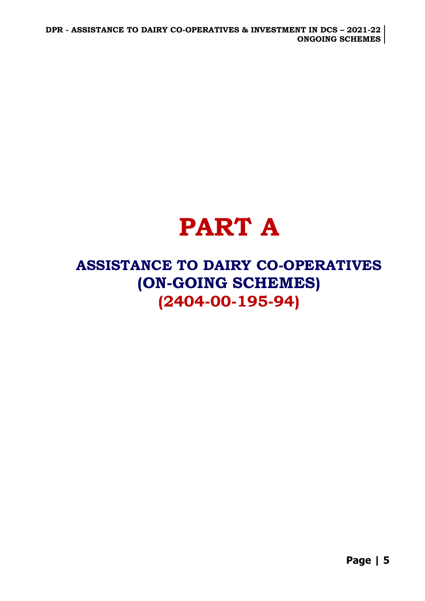**DPR - ASSISTANCE TO DAIRY CO-OPERATIVES & INVESTMENT IN DCS – 2021-22** 5 **ONGOING SCHEMES**



## **ASSISTANCE TO DAIRY CO-OPERATIVES (ON-GOING SCHEMES) (2404-00-195-94)**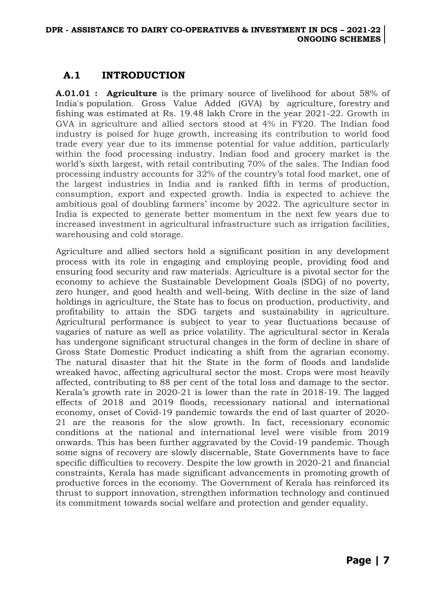## **A.1 INTRODUCTION**

**A.01.01 : Agriculture** is the primary source of livelihood for about 58% of India's population. Gross Value Added (GVA) by agriculture, forestry and fishing was estimated at Rs. 19.48 lakh Crore in the year 2021-22. Growth in GVA in agriculture and allied sectors stood at 4% in FY20. The Indian food industry is poised for huge growth, increasing its contribution to world food trade every year due to its immense potential for value addition, particularly within the food processing industry. Indian food and grocery market is the world's sixth largest, with retail contributing 70% of the sales. The Indian food processing industry accounts for 32% of the country's total food market, one of the largest industries in India and is ranked fifth in terms of production, consumption, export and expected growth. India is expected to achieve the ambitious goal of doubling farmers' income by 2022. The agriculture sector in India is expected to generate better momentum in the next few years due to increased investment in agricultural infrastructure such as irrigation facilities, warehousing and cold storage.

Agriculture and allied sectors hold a significant position in any development process with its role in engaging and employing people, providing food and ensuring food security and raw materials. Agriculture is a pivotal sector for the economy to achieve the Sustainable Development Goals (SDG) of no poverty, zero hunger, and good health and well-being. With decline in the size of land holdings in agriculture, the State has to focus on production, productivity, and profitability to attain the SDG targets and sustainability in agriculture. Agricultural performance is subject to year to year fluctuations because of vagaries of nature as well as price volatility. The agricultural sector in Kerala has undergone significant structural changes in the form of decline in share of Gross State Domestic Product indicating a shift from the agrarian economy. The natural disaster that hit the State in the form of floods and landslide wreaked havoc, affecting agricultural sector the most. Crops were most heavily affected, contributing to 88 per cent of the total loss and damage to the sector. Kerala's growth rate in 2020-21 is lower than the rate in 2018-19. The lagged effects of 2018 and 2019 floods, recessionary national and international economy, onset of Covid-19 pandemic towards the end of last quarter of 2020- 21 are the reasons for the slow growth. In fact, recessionary economic conditions at the national and international level were visible from 2019 onwards. This has been further aggravated by the Covid-19 pandemic. Though some signs of recovery are slowly discernable, State Governments have to face specific difficulties to recovery. Despite the low growth in 2020-21 and financial constraints, Kerala has made significant advancements in promoting growth of productive forces in the economy. The Government of Kerala has reinforced its thrust to support innovation, strengthen information technology and continued its commitment towards social welfare and protection and gender equality.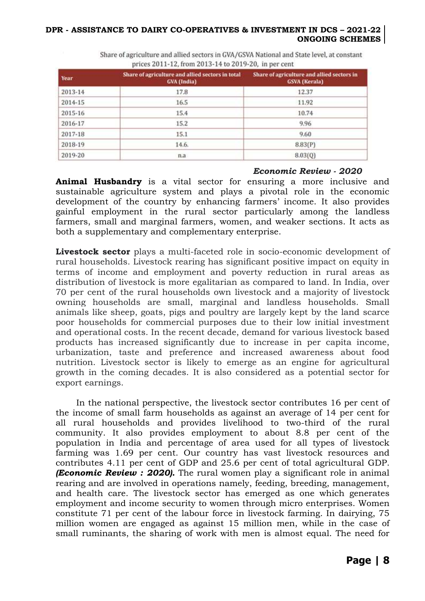#### **DPR - ASSISTANCE TO DAIRY CO-OPERATIVES & INVESTMENT IN DCS – 2021-22** 8 **ONGOING SCHEMES**

| Year    | Share of agriculture and allied sectors in total<br><b>GVA</b> (India) | Share of agriculture and allied sectors in<br><b>GSVA</b> (Kerala) |  |  |
|---------|------------------------------------------------------------------------|--------------------------------------------------------------------|--|--|
| 2013-14 | 17.8                                                                   | 12.37                                                              |  |  |
| 2014-15 | 16.5                                                                   | 11.92                                                              |  |  |
| 2015-16 | 15.4                                                                   | 10.74                                                              |  |  |
| 2016-17 | 15.2                                                                   | 9.96                                                               |  |  |
| 2017-18 | 15.1                                                                   | 9.60                                                               |  |  |
| 2018-19 | 14.6.                                                                  | 8.83(P)                                                            |  |  |
| 2019-20 | n.a                                                                    | 8.03(0)                                                            |  |  |

Share of agriculture and allied sectors in GVA/GSVA National and State level, at constant prices 2011-12, from 2013-14 to 2019-20, in per cent

#### *Economic Review - 2020*

**Animal Husbandry** is a vital sector for ensuring a more inclusive and sustainable agriculture system and plays a pivotal role in the economic development of the country by enhancing farmers' income. It also provides gainful employment in the rural sector particularly among the landless farmers, small and marginal farmers, women, and weaker sections. It acts as both a supplementary and complementary enterprise.

**Livestock sector** plays a multi-faceted role in socio-economic development of rural households. Livestock rearing has significant positive impact on equity in terms of income and employment and poverty reduction in rural areas as distribution of livestock is more egalitarian as compared to land. In India, over 70 per cent of the rural households own livestock and a majority of livestock owning households are small, marginal and landless households. Small animals like sheep, goats, pigs and poultry are largely kept by the land scarce poor households for commercial purposes due to their low initial investment and operational costs. In the recent decade, demand for various livestock based products has increased significantly due to increase in per capita income, urbanization, taste and preference and increased awareness about food nutrition. Livestock sector is likely to emerge as an engine for agricultural growth in the coming decades. It is also considered as a potential sector for export earnings.

In the national perspective, the livestock sector contributes 16 per cent of the income of small farm households as against an average of 14 per cent for all rural households and provides livelihood to two-third of the rural community. It also provides employment to about 8.8 per cent of the population in India and percentage of area used for all types of livestock farming was 1.69 per cent. Our country has vast livestock resources and contributes 4.11 per cent of GDP and 25.6 per cent of total agricultural GDP. *(Economic Review : 2020).* The rural women play a significant role in animal rearing and are involved in operations namely, feeding, breeding, management, and health care. The livestock sector has emerged as one which generates employment and income security to women through micro enterprises. Women constitute 71 per cent of the labour force in livestock farming. In dairying, 75 million women are engaged as against 15 million men, while in the case of small ruminants, the sharing of work with men is almost equal. The need for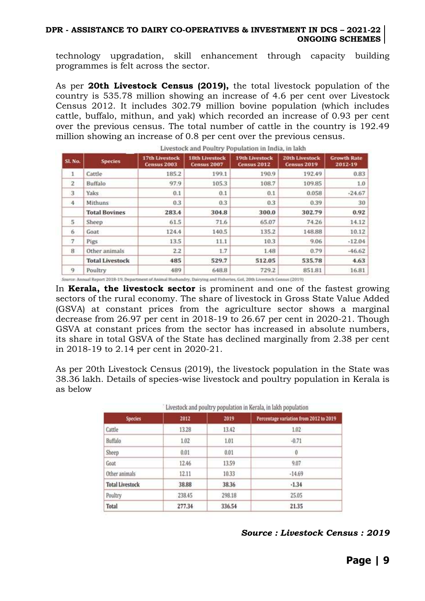#### **DPR - ASSISTANCE TO DAIRY CO-OPERATIVES & INVESTMENT IN DCS – 2021-22** 9 **ONGOING SCHEMES**

technology upgradation, skill enhancement through capacity building programmes is felt across the sector.

As per **20th Livestock Census (2019),** the total livestock population of the country is 535.78 million showing an increase of 4.6 per cent over Livestock Census 2012. It includes 302.79 million bovine population (which includes cattle, buffalo, mithun, and yak) which recorded an increase of 0.93 per cent over the previous census. The total number of cattle in the country is 192.49 million showing an increase of 0.8 per cent over the previous census.

| SL No.         | <b>Species</b>         | <b>17th Livestock</b><br><b>Census 2003</b> | <b>18th Livestock</b><br><b>Census 2007</b> | <b>19th Livestock</b><br>Census 2012 | <b>20th Livestock</b><br>Census 2019 | <b>Growth Rate</b><br>2012-19 |
|----------------|------------------------|---------------------------------------------|---------------------------------------------|--------------------------------------|--------------------------------------|-------------------------------|
| 1              | Cattle                 | 185.2                                       | 199.1                                       | 190.9                                | 192.49                               | 0.83                          |
| $\overline{2}$ | Buffalo                | 97.9                                        | 105.3                                       | 108.7                                | 109.85                               | 1.0                           |
| 3              | Yaks                   | 0.1                                         | 0.1                                         | 0.1                                  | 0.058                                | $-24.67$                      |
| 4              | Mithuns                | 0.3                                         | 0.3                                         | 0.3                                  | 0.39                                 | 30                            |
|                | <b>Total Bovines</b>   | 283.4                                       | 304.8                                       | 300.0                                | 302.79                               | 0.92                          |
| 5              | Sheep                  | 61.5                                        | 71.6                                        | 65.07                                | 74.26                                | 14.12                         |
| 6              | Goat                   | 124.4                                       | 140.5                                       | 135.2                                | 148.88                               | 10.12                         |
| 7              | Pigs                   | 13.5                                        | 11.1                                        | 10.3                                 | 9.06                                 | $-12.04$                      |
| 8              | Other animals          | 2.2                                         | 1.7                                         | 1.48                                 | 0.79                                 | $-46.62$                      |
|                | <b>Total Livestock</b> | 485                                         | 529.7                                       | 512.05                               | 535.78                               | 4.63                          |
| 9              | Poultry                | 489                                         | 648.8                                       | 729.2                                | 851.81                               | 16.81                         |

Livestock and Poultry Population in India, in lakh

Source: Annual Report 2018-19, Department of Animal Husbandry, Dairying and Fisheries, Gol, 20th Livestock Census (2019)

In **Kerala, the livestock sector** is prominent and one of the fastest growing sectors of the rural economy. The share of livestock in Gross State Value Added (GSVA) at constant prices from the agriculture sector shows a marginal decrease from 26.97 per cent in 2018-19 to 26.67 per cent in 2020-21. Though GSVA at constant prices from the sector has increased in absolute numbers, its share in total GSVA of the State has declined marginally from 2.38 per cent in 2018-19 to 2.14 per cent in 2020-21.

As per 20th Livestock Census (2019), the livestock population in the State was 38.36 lakh. Details of species-wise livestock and poultry population in Kerala is as below

| <b>Species</b>         | 2012   | 2019   | Percentage variation from 2012 to 2019 |
|------------------------|--------|--------|----------------------------------------|
| Cattle                 | 13.28  | 13.42  | 1.02                                   |
| Buffalo                | 1.02   | 1.01   | $-0.71$                                |
| Sheep                  | 0.01   | 0.01   | 0                                      |
| Goat                   | 12.46  | 13.59  | 9.07                                   |
| Other animals          | 12.11  | 10.33  | $-14.69$                               |
| <b>Total Livestock</b> | 38.88  | 38.36  | $-1.34$                                |
| Poultry                | 238.45 | 298.18 | 25.05                                  |
| Total                  | 277.34 | 336.54 | 21.35                                  |

*Source : Livestock Census : 2019*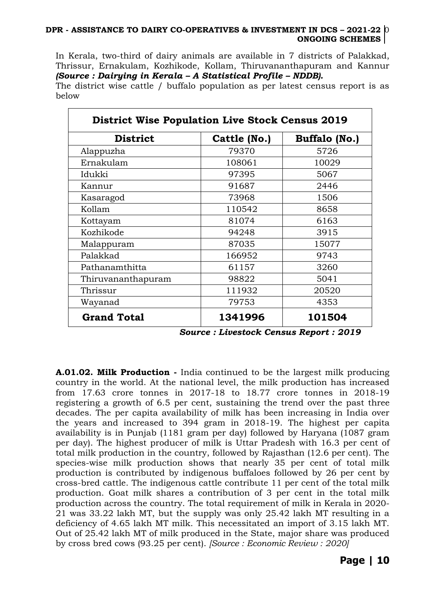#### **DPR - ASSISTANCE TO DAIRY CO-OPERATIVES & INVESTMENT IN DCS – 2021-22** 10 **ONGOING SCHEMES**

In Kerala, two-third of dairy animals are available in 7 districts of Palakkad, Thrissur, Ernakulam, Kozhikode, Kollam, Thiruvananthapuram and Kannur *(Source : Dairying in Kerala – A Statistical Profile – NDDB).*

The district wise cattle / buffalo population as per latest census report is as below

|                    | <b>District Wise Population Live Stock Census 2019</b> |                      |  |  |  |  |  |  |
|--------------------|--------------------------------------------------------|----------------------|--|--|--|--|--|--|
| <b>District</b>    | Cattle (No.)                                           | <b>Buffalo (No.)</b> |  |  |  |  |  |  |
| Alappuzha          | 79370                                                  | 5726                 |  |  |  |  |  |  |
| Ernakulam          | 108061                                                 | 10029                |  |  |  |  |  |  |
| Idukki             | 97395                                                  | 5067                 |  |  |  |  |  |  |
| Kannur             | 91687                                                  | 2446                 |  |  |  |  |  |  |
| Kasaragod          | 73968                                                  | 1506                 |  |  |  |  |  |  |
| Kollam             | 110542                                                 | 8658                 |  |  |  |  |  |  |
| Kottayam           | 81074                                                  | 6163                 |  |  |  |  |  |  |
| Kozhikode          | 94248                                                  | 3915                 |  |  |  |  |  |  |
| Malappuram         | 87035                                                  | 15077                |  |  |  |  |  |  |
| Palakkad           | 166952                                                 | 9743                 |  |  |  |  |  |  |
| Pathanamthitta     | 61157                                                  | 3260                 |  |  |  |  |  |  |
| Thiruvananthapuram | 98822                                                  | 5041                 |  |  |  |  |  |  |
| Thrissur           | 111932                                                 | 20520                |  |  |  |  |  |  |
| Wayanad            | 79753                                                  | 4353                 |  |  |  |  |  |  |
| <b>Grand Total</b> | 1341996                                                | 101504               |  |  |  |  |  |  |

*Source : Livestock Census Report : 2019*

**A.01.02. Milk Production -** India continued to be the largest milk producing country in the world. At the national level, the milk production has increased from 17.63 crore tonnes in 2017-18 to 18.77 crore tonnes in 2018-19 registering a growth of 6.5 per cent, sustaining the trend over the past three decades. The per capita availability of milk has been increasing in India over the years and increased to 394 gram in 2018-19. The highest per capita availability is in Punjab (1181 gram per day) followed by Haryana (1087 gram per day). The highest producer of milk is Uttar Pradesh with 16.3 per cent of total milk production in the country, followed by Rajasthan (12.6 per cent). The species-wise milk production shows that nearly 35 per cent of total milk production is contributed by indigenous buffaloes followed by 26 per cent by cross-bred cattle. The indigenous cattle contribute 11 per cent of the total milk production. Goat milk shares a contribution of 3 per cent in the total milk production across the country. The total requirement of milk in Kerala in 2020- 21 was 33.22 lakh MT, but the supply was only 25.42 lakh MT resulting in a deficiency of 4.65 lakh MT milk. This necessitated an import of 3.15 lakh MT. Out of 25.42 lakh MT of milk produced in the State, major share was produced by cross bred cows (93.25 per cent). *[Source : Economic Review : 2020]*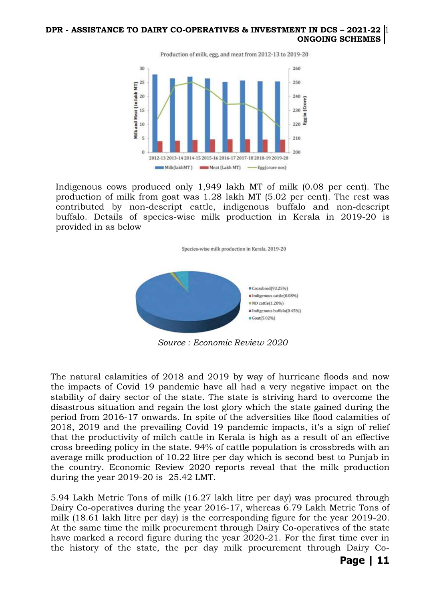#### **DPR - ASSISTANCE TO DAIRY CO-OPERATIVES & INVESTMENT IN DCS – 2021-22** 11 **ONGOING SCHEMES**

Production of milk, egg, and meat from 2012-13 to 2019-20



Indigenous cows produced only 1,949 lakh MT of milk (0.08 per cent). The production of milk from goat was 1.28 lakh MT (5.02 per cent). The rest was contributed by non-descript cattle, indigenous buffalo and non-descript buffalo. Details of species-wise milk production in Kerala in 2019-20 is provided in as below

Species-wise milk production in Kerala 2019-20



*Source : Economic Review 2020*

The natural calamities of 2018 and 2019 by way of hurricane floods and now the impacts of Covid 19 pandemic have all had a very negative impact on the stability of dairy sector of the state. The state is striving hard to overcome the disastrous situation and regain the lost glory which the state gained during the period from 2016-17 onwards. In spite of the adversities like flood calamities of 2018, 2019 and the prevailing Covid 19 pandemic impacts, it's a sign of relief that the productivity of milch cattle in Kerala is high as a result of an effective cross breeding policy in the state. 94% of cattle population is crossbreds with an average milk production of 10.22 litre per day which is second best to Punjab in the country. Economic Review 2020 reports reveal that the milk production during the year 2019-20 is 25.42 LMT.

5.94 Lakh Metric Tons of milk (16.27 lakh litre per day) was procured through Dairy Co-operatives during the year 2016-17, whereas 6.79 Lakh Metric Tons of milk (18.61 lakh litre per day) is the corresponding figure for the year 2019-20. At the same time the milk procurement through Dairy Co-operatives of the state have marked a record figure during the year 2020-21. For the first time ever in the history of the state, the per day milk procurement through Dairy Co-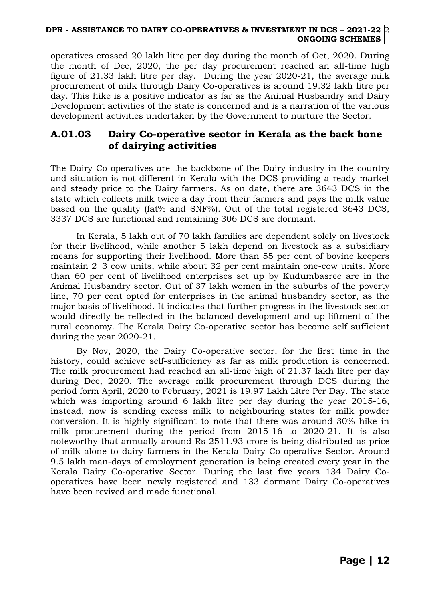#### **DPR - ASSISTANCE TO DAIRY CO-OPERATIVES & INVESTMENT IN DCS – 2021-22** 12 **ONGOING SCHEMES**

operatives crossed 20 lakh litre per day during the month of Oct, 2020. During the month of Dec, 2020, the per day procurement reached an all-time high figure of 21.33 lakh litre per day. During the year 2020-21, the average milk procurement of milk through Dairy Co-operatives is around 19.32 lakh litre per day. This hike is a positive indicator as far as the Animal Husbandry and Dairy Development activities of the state is concerned and is a narration of the various development activities undertaken by the Government to nurture the Sector.

## **A.01.03 Dairy Co-operative sector in Kerala as the back bone of dairying activities**

The Dairy Co-operatives are the backbone of the Dairy industry in the country and situation is not different in Kerala with the DCS providing a ready market and steady price to the Dairy farmers. As on date, there are 3643 DCS in the state which collects milk twice a day from their farmers and pays the milk value based on the quality (fat% and SNF%). Out of the total registered 3643 DCS, 3337 DCS are functional and remaining 306 DCS are dormant.

In Kerala, 5 lakh out of 70 lakh families are dependent solely on livestock for their livelihood, while another 5 lakh depend on livestock as a subsidiary means for supporting their livelihood. More than 55 per cent of bovine keepers maintain 2−3 cow units, while about 32 per cent maintain one-cow units. More than 60 per cent of livelihood enterprises set up by Kudumbasree are in the Animal Husbandry sector. Out of 37 lakh women in the suburbs of the poverty line, 70 per cent opted for enterprises in the animal husbandry sector, as the major basis of livelihood. It indicates that further progress in the livestock sector would directly be reflected in the balanced development and up-liftment of the rural economy. The Kerala Dairy Co-operative sector has become self sufficient during the year 2020-21.

By Nov, 2020, the Dairy Co-operative sector, for the first time in the history, could achieve self-sufficiency as far as milk production is concerned. The milk procurement had reached an all-time high of 21.37 lakh litre per day during Dec, 2020. The average milk procurement through DCS during the period form April, 2020 to February, 2021 is 19.97 Lakh Litre Per Day. The state which was importing around 6 lakh litre per day during the year 2015-16, instead, now is sending excess milk to neighbouring states for milk powder conversion. It is highly significant to note that there was around 30% hike in milk procurement during the period from 2015-16 to 2020-21. It is also noteworthy that annually around Rs 2511.93 crore is being distributed as price of milk alone to dairy farmers in the Kerala Dairy Co-operative Sector. Around 9.5 lakh man-days of employment generation is being created every year in the Kerala Dairy Co-operative Sector. During the last five years 134 Dairy Cooperatives have been newly registered and 133 dormant Dairy Co-operatives have been revived and made functional.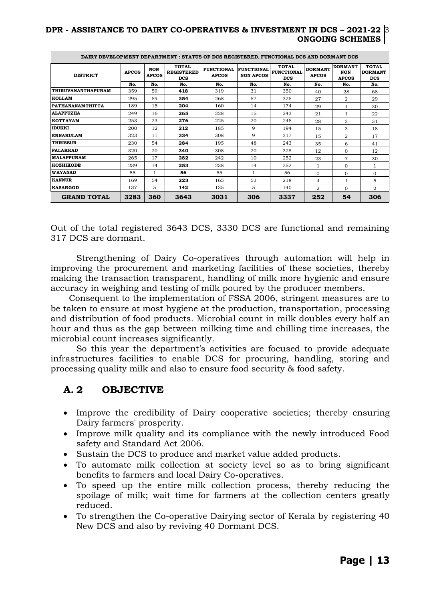#### **DPR - ASSISTANCE TO DAIRY CO-OPERATIVES & INVESTMENT IN DCS – 2021-22** 13 **ONGOING SCHEMES**

| DAIRY DEVELOPMENT DEPARTMENT : STATUS OF DCS REGISTERED, FUNCTIONAL DCS AND DORMANT DCS |              |                            |                                                 |                                   |                                       |                                                 |                                |                                              |                                              |
|-----------------------------------------------------------------------------------------|--------------|----------------------------|-------------------------------------------------|-----------------------------------|---------------------------------------|-------------------------------------------------|--------------------------------|----------------------------------------------|----------------------------------------------|
| <b>DISTRICT</b>                                                                         | <b>APCOS</b> | <b>NON</b><br><b>APCOS</b> | <b>TOTAL</b><br><b>REGISTERED</b><br><b>DCS</b> | <b>FUNCTIONAL</b><br><b>APCOS</b> | <b>FUNCTIONAL</b><br><b>NON APCOS</b> | <b>TOTAL</b><br><b>FUNCTIONAL</b><br><b>DCS</b> | <b>DORMANT</b><br><b>APCOS</b> | <b>DORMANT</b><br><b>NON</b><br><b>APCOS</b> | <b>TOTAL</b><br><b>DORMANT</b><br><b>DCS</b> |
|                                                                                         | No.          | No.                        | No.                                             | No.                               | No.                                   | No.                                             | No.                            | No.                                          | No.                                          |
| <b>THIRUVANANTHAPURAM</b>                                                               | 359          | 59                         | 418                                             | 319                               | 31                                    | 350                                             | 40                             | 28                                           | 68                                           |
| <b>KOLLAM</b>                                                                           | 295          | 59                         | 354                                             | 268                               | 57                                    | 325                                             | 27                             | 2                                            | 29                                           |
| <b>PATHANANAMTHITTA</b>                                                                 | 189          | 15                         | 204                                             | 160                               | 14                                    | 174                                             | 29                             |                                              | 30                                           |
| <b>ALAPPUZHA</b>                                                                        | 249          | 16                         | 265                                             | 228                               | 15                                    | 243                                             | 21                             |                                              | 22                                           |
| <b>KOTTAYAM</b>                                                                         | 253          | 23                         | 276                                             | 225                               | 20                                    | 245                                             | 28                             | 3                                            | 31                                           |
| <b>IDUKKI</b>                                                                           | 200          | 12                         | 212                                             | 185                               | 9                                     | 194                                             | 15                             | 3                                            | 18                                           |
| <b>ERNAKULAM</b>                                                                        | 323          | 11                         | 334                                             | 308                               | 9                                     | 317                                             | 15                             | $\overline{2}$                               | 17                                           |
| <b>THRISSUR</b>                                                                         | 230          | 54                         | 284                                             | 195                               | 48                                    | 243                                             | 35                             | 6                                            | 41                                           |
| <b>PALAKKAD</b>                                                                         | 320          | 20                         | 340                                             | 308                               | 20                                    | 328                                             | 12                             | $\Omega$                                     | 12                                           |
| <b>MALAPPURAM</b>                                                                       | 265          | 17                         | 282                                             | 242                               | 10                                    | 252                                             | 23                             | $\overline{7}$                               | 30                                           |
| <b>KOZHIKODE</b>                                                                        | 239          | 14                         | 253                                             | 238                               | 14                                    | 252                                             |                                | $\Omega$                                     | 1                                            |
| <b>WAYANAD</b>                                                                          | 55           |                            | 56                                              | 55                                |                                       | 56                                              | $\mathbf{0}$                   | $\mathbf{0}$                                 | $\mathbf{0}$                                 |
| <b>KANNUR</b>                                                                           | 169          | 54                         | 223                                             | 165                               | 53                                    | 218                                             | $\overline{4}$                 |                                              | 5                                            |
| <b>KASARGOD</b>                                                                         | 137          | 5                          | 142                                             | 135                               | 5                                     | 140                                             | $\overline{2}$                 | $\Omega$                                     | $\overline{2}$                               |
| <b>GRAND TOTAL</b>                                                                      | 3283         | 360                        | 3643                                            | 3031                              | 306                                   | 3337                                            | 252                            | 54                                           | 306                                          |

Out of the total registered 3643 DCS, 3330 DCS are functional and remaining 317 DCS are dormant.

Strengthening of Dairy Co-operatives through automation will help in improving the procurement and marketing facilities of these societies, thereby making the transaction transparent, handling of milk more hygienic and ensure accuracy in weighing and testing of milk poured by the producer members.

Consequent to the implementation of FSSA 2006, stringent measures are to be taken to ensure at most hygiene at the production, transportation, processing and distribution of food products. Microbial count in milk doubles every half an hour and thus as the gap between milking time and chilling time increases, the microbial count increases significantly.

So this year the department's activities are focused to provide adequate infrastructures facilities to enable DCS for procuring, handling, storing and processing quality milk and also to ensure food security & food safety.

## **A. 2 OBJECTIVE**

- Improve the credibility of Dairy cooperative societies; thereby ensuring Dairy farmers' prosperity.
- Improve milk quality and its compliance with the newly introduced Food safety and Standard Act 2006.
- Sustain the DCS to produce and market value added products.
- To automate milk collection at society level so as to bring significant benefits to farmers and local Dairy Co-operatives.
- To speed up the entire milk collection process, thereby reducing the spoilage of milk; wait time for farmers at the collection centers greatly reduced.
- To strengthen the Co-operative Dairying sector of Kerala by registering 40 New DCS and also by reviving 40 Dormant DCS.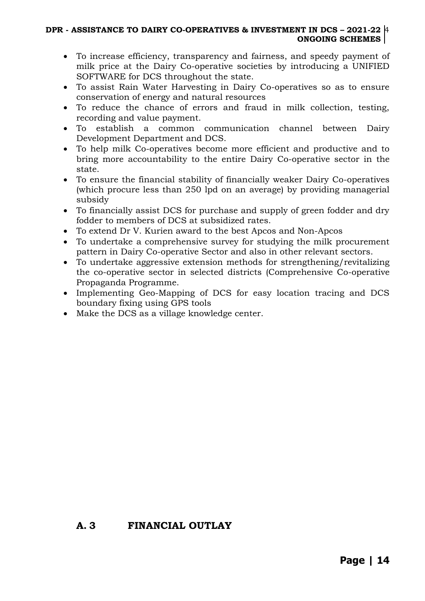#### **DPR - ASSISTANCE TO DAIRY CO-OPERATIVES & INVESTMENT IN DCS – 2021-22** 14 **ONGOING SCHEMES**

- To increase efficiency, transparency and fairness, and speedy payment of milk price at the Dairy Co-operative societies by introducing a UNIFIED SOFTWARE for DCS throughout the state.
- To assist Rain Water Harvesting in Dairy Co-operatives so as to ensure conservation of energy and natural resources
- To reduce the chance of errors and fraud in milk collection, testing, recording and value payment.
- To establish a common communication channel between Dairy Development Department and DCS.
- To help milk Co-operatives become more efficient and productive and to bring more accountability to the entire Dairy Co-operative sector in the state.
- To ensure the financial stability of financially weaker Dairy Co-operatives (which procure less than 250 lpd on an average) by providing managerial subsidy
- To financially assist DCS for purchase and supply of green fodder and dry fodder to members of DCS at subsidized rates.
- To extend Dr V. Kurien award to the best Apcos and Non-Apcos
- To undertake a comprehensive survey for studying the milk procurement pattern in Dairy Co-operative Sector and also in other relevant sectors.
- To undertake aggressive extension methods for strengthening/revitalizing the co-operative sector in selected districts (Comprehensive Co-operative Propaganda Programme.
- Implementing Geo-Mapping of DCS for easy location tracing and DCS boundary fixing using GPS tools
- Make the DCS as a village knowledge center.

## **A. 3 FINANCIAL OUTLAY**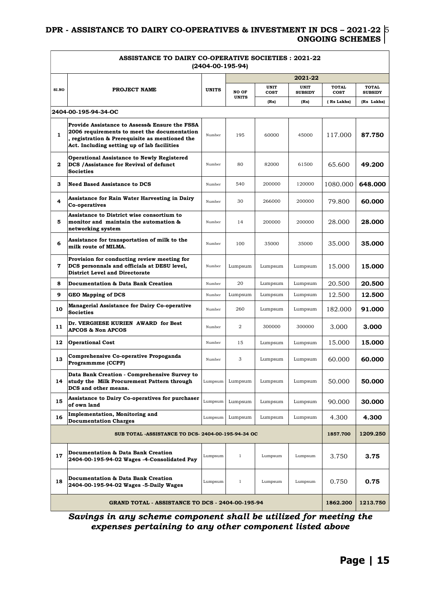#### **DPR - ASSISTANCE TO DAIRY CO-OPERATIVES & INVESTMENT IN DCS – 2021-22** 15 **ONGOING SCHEMES**

|                                                    | <b>ASSISTANCE TO DAIRY CO-OPERATIVE SOCIETIES : 2021-22</b><br>(2404-00-195-94)                                                                                                               |              |                |                            |                               |                             |                                |  |  |
|----------------------------------------------------|-----------------------------------------------------------------------------------------------------------------------------------------------------------------------------------------------|--------------|----------------|----------------------------|-------------------------------|-----------------------------|--------------------------------|--|--|
|                                                    |                                                                                                                                                                                               |              |                |                            | 2021-22                       |                             |                                |  |  |
| SI.NO                                              | <b>PROJECT NAME</b>                                                                                                                                                                           | <b>UNITS</b> | NO OF          | <b>UNIT</b><br><b>COST</b> | <b>UNIT</b><br><b>SUBSIDY</b> | <b>TOTAL</b><br><b>COST</b> | <b>TOTAL</b><br><b>SUBSIDY</b> |  |  |
|                                                    |                                                                                                                                                                                               |              | <b>UNITS</b>   | (Rs)                       | (Rs)                          | (Rs Lakhs)                  | (Rs Lakhs)                     |  |  |
|                                                    | 2404-00-195-94-34-OC                                                                                                                                                                          |              |                |                            |                               |                             |                                |  |  |
| 1                                                  | Provide Assistance to Assess& Ensure the FSSA<br>2006 requirements to meet the documentation<br>, registration & Prerequisite as mentioned the<br>Act. Including setting up of lab facilities | Number       | 195            | 60000                      | 45000                         | 117.000                     | 87.750                         |  |  |
| $\mathbf{2}$                                       | Operational Assistance to Newly Registered<br>DCS / Assistance for Revival of defunct<br><b>Societies</b>                                                                                     | Number       | 80             | 82000                      | 61500                         | 65.600                      | 49.200                         |  |  |
| 3                                                  | <b>Need Based Assistance to DCS</b>                                                                                                                                                           | Number       | 540            | 200000                     | 120000                        | 1080.000                    | 648.000                        |  |  |
| 4                                                  | Assistance for Rain Water Harvesting in Dairy<br>Co-operatives                                                                                                                                | Number       | 30             | 266000                     | 200000                        | 79.800                      | 60.000                         |  |  |
| 5                                                  | Assistance to District wise consortium to<br>monitor and maintain the automation &<br>networking system                                                                                       | Number       | 14             | 200000                     | 200000                        | 28.000                      | 28.000                         |  |  |
| 6                                                  | Assistance for transportation of milk to the<br>milk route of MILMA.                                                                                                                          | Number       | 100            | 35000                      | 35000                         | 35.000                      | 35.000                         |  |  |
| 7                                                  | Provision for conducting review meeting for<br>DCS personnals and officials at DESU level,<br><b>District Level and Directorate</b>                                                           | Number       | Lumpsum        | Lumpsum                    | Lumpsum                       | 15.000                      | 15.000                         |  |  |
| 8                                                  | Documentation & Data Bank Creation                                                                                                                                                            | Number       | 20             | Lumpsum                    | Lumpsum                       | 20.500                      | 20.500                         |  |  |
| 9                                                  | <b>GEO Mapping of DCS</b>                                                                                                                                                                     | Number       | Lumpsum        | Lumpsum                    | Lumpsum                       | 12.500                      | 12.500                         |  |  |
| 10                                                 | Managerial Assistance for Dairy Co-operative<br><b>Societies</b>                                                                                                                              | Number       | 260            | Lumpsum                    | Lumpsum                       | 182.000                     | 91.000                         |  |  |
| 11                                                 | Dr. VERGHESE KURIEN AWARD for Best<br><b>APCOS &amp; Non APCOS</b>                                                                                                                            | Number       | $\overline{2}$ | 300000                     | 300000                        | 3.000                       | 3.000                          |  |  |
| 12                                                 | <b>Operational Cost</b>                                                                                                                                                                       | Number       | 15             | Lumpsum                    | Lumpsum                       | 15.000                      | 15.000                         |  |  |
| 13                                                 | Comprehensive Co-operative Propoganda<br><b>Programmme (CCPP)</b>                                                                                                                             | Number       | 3              | Lumpsum                    | Lumpsum                       | 60.000                      | 60.000                         |  |  |
| 14                                                 | Data Bank Creation - Comprehensive Survey to<br>study the Milk Procurement Pattern through<br>DCS and other means.                                                                            | Lumpsum      | Lumpsum        | Lumpsum                    | Lumpsum                       | 50.000                      | 50.000                         |  |  |
| 15                                                 | Assistance to Dairy Co-operatives for purchaser<br>of own land                                                                                                                                | Lumpsum      | Lumpsum        | Lumpsum                    | Lumpsum                       | 90.000                      | 30.000                         |  |  |
| 16                                                 | Implementation, Monitoring and<br><b>Documentation Charges</b>                                                                                                                                | Lumpsum      | Lumpsum        | Lumpsum                    | Lumpsum                       | 4.300                       | 4.300                          |  |  |
| SUB TOTAL -ASSISTANCE TO DCS- 2404-00-195-94-34 OC |                                                                                                                                                                                               |              |                |                            |                               |                             | 1209.250                       |  |  |
| 17                                                 | <b>Documentation &amp; Data Bank Creation</b><br>2404-00-195-94-02 Wages -4-Consolidated Pay                                                                                                  | Lumpsum      | $\mathbf{1}$   | Lumpsum                    | Lumpsum                       | 3.750                       | 3.75                           |  |  |
| 18                                                 | <b>Documentation &amp; Data Bank Creation</b><br>2404-00-195-94-02 Wages -5-Daily Wages                                                                                                       | Lumpsum      | $\,1$          | Lumpsum                    | Lumpsum                       | 0.750                       | 0.75                           |  |  |
|                                                    | <b>GRAND TOTAL - ASSISTANCE TO DCS - 2404-00-195-94</b><br>1862.200<br>1213.750                                                                                                               |              |                |                            |                               |                             |                                |  |  |

*Savings in any scheme component shall be utilized for meeting the expenses pertaining to any other component listed above*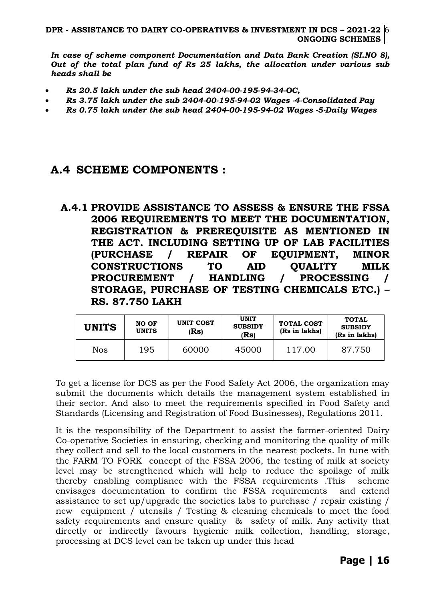*In case of scheme component Documentation and Data Bank Creation (SI.NO 8), Out of the total plan fund of Rs 25 lakhs, the allocation under various sub heads shall be* 

- *Rs 20.5 lakh under the sub head 2404-00-195-94-34-OC,*
- *Rs 3.75 lakh under the sub 2404-00-195-94-02 Wages -4-Consolidated Pay*
- *Rs 0.75 lakh under the sub head 2404-00-195-94-02 Wages -5-Daily Wages*

## **A.4 SCHEME COMPONENTS :**

**A.4.1 PROVIDE ASSISTANCE TO ASSESS & ENSURE THE FSSA 2006 REQUIREMENTS TO MEET THE DOCUMENTATION, REGISTRATION & PREREQUISITE AS MENTIONED IN THE ACT. INCLUDING SETTING UP OF LAB FACILITIES (PURCHASE / REPAIR OF EQUIPMENT, MINOR CONSTRUCTIONS TO AID QUALITY MILK PROCUREMENT / HANDLING / PROCESSING / STORAGE, PURCHASE OF TESTING CHEMICALS ETC.) – RS. 87.750 LAKH**

| <b>UNITS</b> | NO OF<br><b>UNITS</b> | UNIT COST<br>(Rs) | <b>UNIT</b><br><b>SUBSIDY</b><br>(Rs) | <b>TOTAL COST</b><br>(Rs in lakhs) | <b>TOTAL</b><br><b>SUBSIDY</b><br>(Rs in lakhs) |
|--------------|-----------------------|-------------------|---------------------------------------|------------------------------------|-------------------------------------------------|
| Nos          | 195                   | 60000             | 45000                                 | 117.00                             | 87.750                                          |

To get a license for DCS as per the Food Safety Act 2006, the organization may submit the documents which details the management system established in their sector. And also to meet the requirements specified in Food Safety and Standards (Licensing and Registration of Food Businesses), Regulations 2011.

It is the responsibility of the Department to assist the farmer-oriented Dairy Co-operative Societies in ensuring, checking and monitoring the quality of milk they collect and sell to the local customers in the nearest pockets. In tune with the FARM TO FORK concept of the FSSA 2006, the testing of milk at society level may be strengthened which will help to reduce the spoilage of milk thereby enabling compliance with the FSSA requirements .This scheme envisages documentation to confirm the FSSA requirements and extend assistance to set up/upgrade the societies labs to purchase / repair existing / new equipment / utensils / Testing & cleaning chemicals to meet the food safety requirements and ensure quality & safety of milk. Any activity that directly or indirectly favours hygienic milk collection, handling, storage, processing at DCS level can be taken up under this head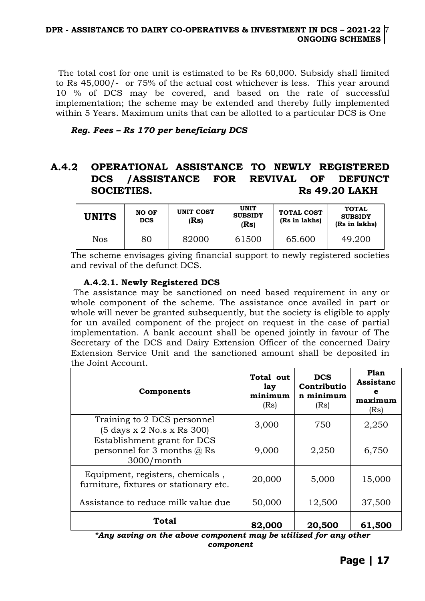#### **DPR - ASSISTANCE TO DAIRY CO-OPERATIVES & INVESTMENT IN DCS – 2021-22** 17 **ONGOING SCHEMES**

The total cost for one unit is estimated to be Rs 60,000. Subsidy shall limited to Rs 45,000/- or 75% of the actual cost whichever is less. This year around 10 % of DCS may be covered, and based on the rate of successful implementation; the scheme may be extended and thereby fully implemented within 5 Years. Maximum units that can be allotted to a particular DCS is One

#### *Reg. Fees – Rs 170 per beneficiary DCS*

## **A.4.2 OPERATIONAL ASSISTANCE TO NEWLY REGISTERED DCS /ASSISTANCE FOR REVIVAL OF DEFUNCT SOCIETIES. Rs 49.20 LAKH**

| <b>UNITS</b> | NO OF<br><b>DCS</b> | <b>UNIT COST</b><br>(Rs) | <b>UNIT</b><br><b>SUBSIDY</b><br>(Rs | <b>TOTAL COST</b><br>(Rs in lakhs) | <b>TOTAL</b><br><b>SUBSIDY</b><br>(Rs in lakhs) |
|--------------|---------------------|--------------------------|--------------------------------------|------------------------------------|-------------------------------------------------|
| Nos          | 80                  | 82000                    | 61500                                | 65.600                             | 49.200                                          |

The scheme envisages giving financial support to newly registered societies and revival of the defunct DCS.

#### **A.4.2.1. Newly Registered DCS**

The assistance may be sanctioned on need based requirement in any or whole component of the scheme. The assistance once availed in part or whole will never be granted subsequently, but the society is eligible to apply for un availed component of the project on request in the case of partial implementation. A bank account shall be opened jointly in favour of The Secretary of the DCS and Dairy Extension Officer of the concerned Dairy Extension Service Unit and the sanctioned amount shall be deposited in the Joint Account.

| Components                                                                      | Total out<br>lay<br>minimum<br>(Rs) | <b>DCS</b><br>Contributio<br>n minimum<br>(Rs) | Plan<br><b>Assistanc</b><br>е<br>maximum<br>(Rs) |
|---------------------------------------------------------------------------------|-------------------------------------|------------------------------------------------|--------------------------------------------------|
| Training to 2 DCS personnel<br>(5 days x 2 No.s x Rs 300)                       | 3,000                               | 750                                            | 2,250                                            |
| Establishment grant for DCS<br>personnel for 3 months $\omega$ Rs<br>3000/month | 9,000                               | 2,250                                          | 6,750                                            |
| Equipment, registers, chemicals,<br>furniture, fixtures or stationary etc.      | 20,000                              | 5,000                                          | 15,000                                           |
| Assistance to reduce milk value due                                             | 50,000                              | 12,500                                         | 37,500                                           |
| <b>Total</b>                                                                    | 82,000                              | 20,500                                         | 61,500                                           |

*\*Any saving on the above component may be utilized for any other component*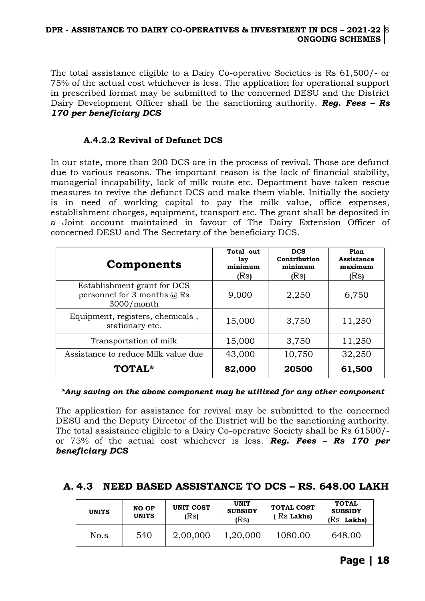#### **DPR - ASSISTANCE TO DAIRY CO-OPERATIVES & INVESTMENT IN DCS – 2021-22** 18 **ONGOING SCHEMES**

The total assistance eligible to a Dairy Co-operative Societies is Rs 61,500/- or 75% of the actual cost whichever is less. The application for operational support in prescribed format may be submitted to the concerned DESU and the District Dairy Development Officer shall be the sanctioning authority. *Reg. Fees – Rs 170 per beneficiary DCS*

#### **A.4.2.2 Revival of Defunct DCS**

In our state, more than 200 DCS are in the process of revival. Those are defunct due to various reasons. The important reason is the lack of financial stability, managerial incapability, lack of milk route etc. Department have taken rescue measures to revive the defunct DCS and make them viable. Initially the society is in need of working capital to pay the milk value, office expenses, establishment charges, equipment, transport etc. The grant shall be deposited in a Joint account maintained in favour of The Dairy Extension Officer of concerned DESU and The Secretary of the beneficiary DCS.

| Components                                                                   | Total out<br>lay<br>minimum<br>(Rs) | <b>DCS</b><br>Contribution<br>minimum<br>(Rs) | Plan<br>Assistance<br>maximum<br>(Rs) |  |
|------------------------------------------------------------------------------|-------------------------------------|-----------------------------------------------|---------------------------------------|--|
| Establishment grant for DCS<br>personnel for 3 months $(a)$ Rs<br>3000/month | 9,000                               | 2,250                                         | 6,750                                 |  |
| Equipment, registers, chemicals,<br>stationary etc.                          | 15,000                              | 3,750                                         | 11,250                                |  |
| Transportation of milk                                                       | 15,000                              | 3,750                                         | 11,250                                |  |
| Assistance to reduce Milk value due                                          | 43,000                              | 10,750                                        | 32,250                                |  |
| <b>TOTAL*</b>                                                                | 82,000                              | 20500                                         | 61,500                                |  |

#### *\*Any saving on the above component may be utilized for any other component*

The application for assistance for revival may be submitted to the concerned DESU and the Deputy Director of the District will be the sanctioning authority. The total assistance eligible to a Dairy Co-operative Society shall be Rs 61500/ or 75% of the actual cost whichever is less. *Reg. Fees – Rs 170 per beneficiary DCS*

## **A. 4.3 NEED BASED ASSISTANCE TO DCS – RS. 648.00 LAKH**

| <b>UNITS</b> | NO OF<br><b>UNITS</b> | <b>UNIT</b><br>UNIT COST<br><b>SUBSIDY</b><br>(Rs)<br>(Rs) |          | <b>TOTAL COST</b><br>$(Rs$ Lakhs) | <b>TOTAL</b><br><b>SUBSIDY</b><br>$(Rs$ Lakhs |  |
|--------------|-----------------------|------------------------------------------------------------|----------|-----------------------------------|-----------------------------------------------|--|
| No.s         | 540                   | 2,00,000                                                   | 1,20,000 | 1080.00                           | 648.00                                        |  |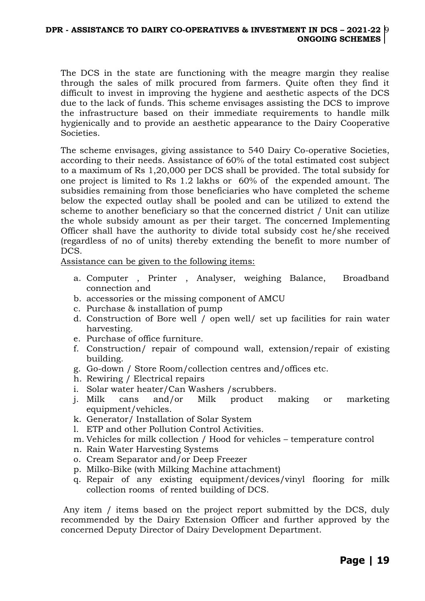The DCS in the state are functioning with the meagre margin they realise through the sales of milk procured from farmers. Quite often they find it difficult to invest in improving the hygiene and aesthetic aspects of the DCS due to the lack of funds. This scheme envisages assisting the DCS to improve the infrastructure based on their immediate requirements to handle milk hygienically and to provide an aesthetic appearance to the Dairy Cooperative Societies.

The scheme envisages, giving assistance to 540 Dairy Co-operative Societies, according to their needs. Assistance of 60% of the total estimated cost subject to a maximum of Rs 1,20,000 per DCS shall be provided. The total subsidy for one project is limited to Rs 1.2 lakhs or 60% of the expended amount. The subsidies remaining from those beneficiaries who have completed the scheme below the expected outlay shall be pooled and can be utilized to extend the scheme to another beneficiary so that the concerned district / Unit can utilize the whole subsidy amount as per their target. The concerned Implementing Officer shall have the authority to divide total subsidy cost he/she received (regardless of no of units) thereby extending the benefit to more number of DCS.

Assistance can be given to the following items:

- a. Computer , Printer , Analyser, weighing Balance, Broadband connection and
- b. accessories or the missing component of AMCU
- c. Purchase & installation of pump
- d. Construction of Bore well / open well/ set up facilities for rain water harvesting.
- e. Purchase of office furniture.
- f. Construction/ repair of compound wall, extension/repair of existing building.
- g. Go-down / Store Room/collection centres and/offices etc.
- h. Rewiring / Electrical repairs
- i. Solar water heater/Can Washers /scrubbers.
- j. Milk cans and/or Milk product making or marketing equipment/vehicles.
- k. Generator/ Installation of Solar System
- l. ETP and other Pollution Control Activities.
- m. Vehicles for milk collection / Hood for vehicles temperature control
- n. Rain Water Harvesting Systems
- o. Cream Separator and/or Deep Freezer
- p. Milko-Bike (with Milking Machine attachment)
- q. Repair of any existing equipment/devices/vinyl flooring for milk collection rooms of rented building of DCS.

Any item / items based on the project report submitted by the DCS, duly recommended by the Dairy Extension Officer and further approved by the concerned Deputy Director of Dairy Development Department.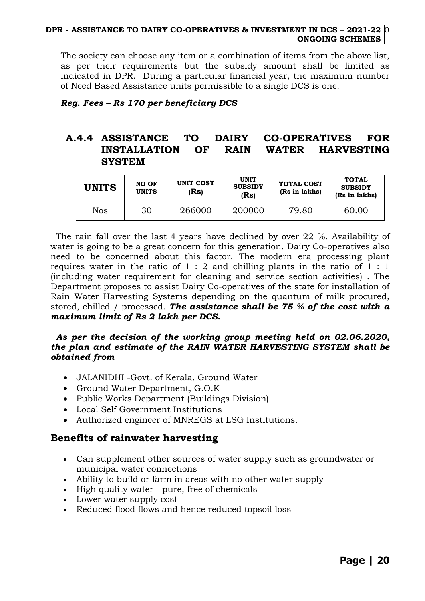#### **DPR - ASSISTANCE TO DAIRY CO-OPERATIVES & INVESTMENT IN DCS – 2021-22** 20 **ONGOING SCHEMES**

The society can choose any item or a combination of items from the above list, as per their requirements but the subsidy amount shall be limited as indicated in DPR. During a particular financial year, the maximum number of Need Based Assistance units permissible to a single DCS is one.

#### *Reg. Fees – Rs 170 per beneficiary DCS*

## **A.4.4 ASSISTANCE TO DAIRY CO-OPERATIVES FOR INSTALLATION OF RAIN WATER HARVESTING SYSTEM**

| <b>UNITS</b> | NO OF<br><b>UNITS</b> | <b>UNIT</b><br>UNIT COST<br><b>SUBSIDY</b><br>(Rs)<br>(Rs) |        | <b>TOTAL COST</b><br>(Rs in lakhs) | <b>TOTAL</b><br><b>SUBSIDY</b><br>(Rs in lakhs) |  |
|--------------|-----------------------|------------------------------------------------------------|--------|------------------------------------|-------------------------------------------------|--|
| Nos          | 30                    | 266000                                                     | 200000 | 79.80                              | 60.00                                           |  |

The rain fall over the last 4 years have declined by over 22 %. Availability of water is going to be a great concern for this generation. Dairy Co-operatives also need to be concerned about this factor. The modern era processing plant requires water in the ratio of  $1:2$  and chilling plants in the ratio of  $1:1$ (including water requirement for cleaning and service section activities) . The Department proposes to assist Dairy Co-operatives of the state for installation of Rain Water Harvesting Systems depending on the quantum of milk procured, stored, chilled / processed. *The assistance shall be 75 % of the cost with a maximum limit of Rs 2 lakh per DCS.*

#### *As per the decision of the working group meeting held on 02.06.2020, the plan and estimate of the RAIN WATER HARVESTING SYSTEM shall be obtained from*

- JALANIDHI -Govt. of Kerala, Ground Water
- Ground Water Department, G.O.K
- Public Works Department (Buildings Division)
- Local Self Government Institutions
- Authorized engineer of MNREGS at LSG Institutions.

## **Benefits of rainwater harvesting**

- Can supplement other sources of water supply such as groundwater or municipal water connections
- Ability to build or farm in areas with no other water supply
- High quality water pure, free of chemicals
- Lower water supply cost
- Reduced flood flows and hence reduced topsoil loss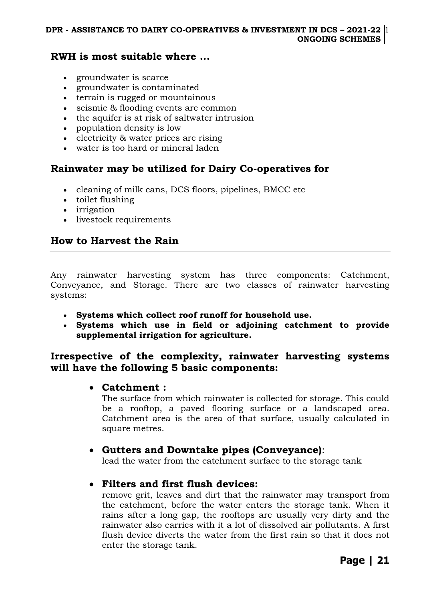## **RWH is most suitable where ...**

- groundwater is scarce
- groundwater is contaminated
- terrain is rugged or mountainous
- seismic & flooding events are common
- the aquifer is at risk of saltwater intrusion
- population density is low
- electricity  $&$  water prices are rising
- water is too hard or mineral laden

## **Rainwater may be utilized for Dairy Co-operatives for**

- cleaning of milk cans, DCS floors, pipelines, BMCC etc
- toilet flushing
- irrigation
- livestock requirements

## **How to Harvest the Rain**

Any rainwater harvesting system has three components: Catchment, Conveyance, and Storage. There are two classes of rainwater harvesting systems:

- **Systems which collect roof runoff for household use.**
- **Systems which use in field or adjoining catchment to provide supplemental irrigation for agriculture.**

## **Irrespective of the complexity, rainwater harvesting systems will have the following 5 basic components:**

#### **Catchment :**

The surface from which rainwater is collected for storage. This could be a rooftop, a paved flooring surface or a landscaped area. Catchment area is the area of that surface, usually calculated in square metres.

## **Gutters and Downtake pipes (Conveyance)**:

lead the water from the catchment surface to the storage tank

## **Filters and first flush devices:**

remove grit, leaves and dirt that the rainwater may transport from the catchment, before the water enters the storage tank. When it rains after a long gap, the rooftops are usually very dirty and the rainwater also carries with it a lot of dissolved air pollutants. A first flush device diverts the water from the first rain so that it does not enter the storage tank.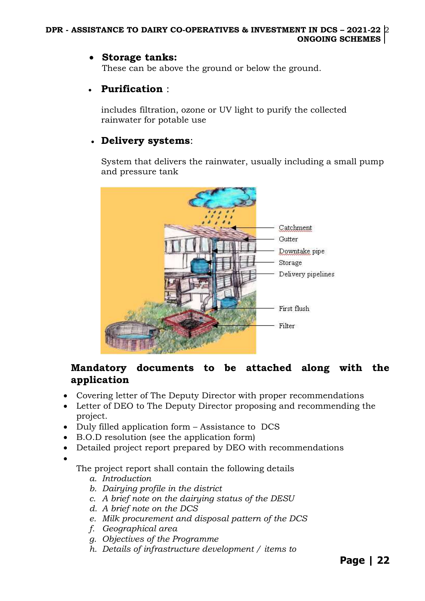### **Storage tanks:**

These can be above the ground or below the ground.

## **Purification** :

includes filtration, ozone or UV light to purify the collected rainwater for potable use

## **Delivery systems**:

System that delivers the rainwater, usually including a small pump and pressure tank



## **Mandatory documents to be attached along with the application**

- Covering letter of The Deputy Director with proper recommendations
- Letter of DEO to The Deputy Director proposing and recommending the project.
- Duly filled application form Assistance to DCS
- B.O.D resolution (see the application form)
- Detailed project report prepared by DEO with recommendations
- $\bullet$

The project report shall contain the following details

- *a. Introduction*
- *b. Dairying profile in the district*
- *c. A brief note on the dairying status of the DESU*
- *d. A brief note on the DCS*
- *e. Milk procurement and disposal pattern of the DCS*
- *f. Geographical area*
- *g. Objectives of the Programme*
- *h. Details of infrastructure development / items to*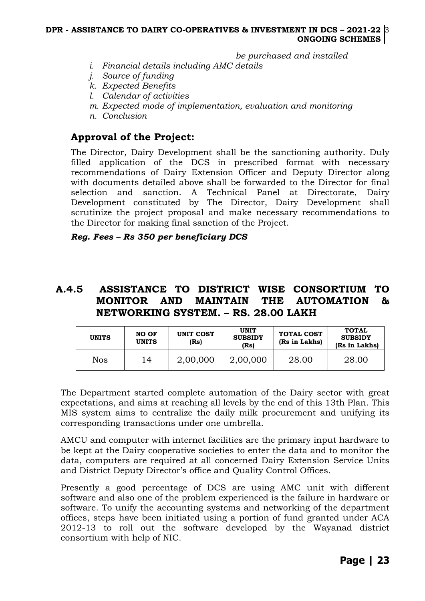*be purchased and installed*

- *i. Financial details including AMC details*
- *j. Source of funding*
- *k. Expected Benefits*
- *l. Calendar of activities*
- *m. Expected mode of implementation, evaluation and monitoring*
- *n. Conclusion*

## **Approval of the Project:**

The Director, Dairy Development shall be the sanctioning authority. Duly filled application of the DCS in prescribed format with necessary recommendations of Dairy Extension Officer and Deputy Director along with documents detailed above shall be forwarded to the Director for final selection and sanction. A Technical Panel at Directorate, Dairy Development constituted by The Director, Dairy Development shall scrutinize the project proposal and make necessary recommendations to the Director for making final sanction of the Project.

#### *Reg. Fees – Rs 350 per beneficiary DCS*

## **A.4.5 ASSISTANCE TO DISTRICT WISE CONSORTIUM TO MONITOR AND MAINTAIN THE AUTOMATION & NETWORKING SYSTEM. – RS. 28.00 LAKH**

| <b>UNITS</b> | NO OF<br><b>UNITS</b> | UNIT COST<br>(Rs) | <b>UNIT</b><br><b>TOTAL COST</b><br><b>SUBSIDY</b><br>(Rs in Lakhs)<br>(Rs) |       | <b>TOTAL</b><br><b>SUBSIDY</b><br>(Rs in Lakhs) |
|--------------|-----------------------|-------------------|-----------------------------------------------------------------------------|-------|-------------------------------------------------|
| <b>Nos</b>   | $\overline{4}$        | 2,00,000          | 2,00,000                                                                    | 28.00 | 28.00                                           |

The Department started complete automation of the Dairy sector with great expectations, and aims at reaching all levels by the end of this 13th Plan. This MIS system aims to centralize the daily milk procurement and unifying its corresponding transactions under one umbrella.

AMCU and computer with internet facilities are the primary input hardware to be kept at the Dairy cooperative societies to enter the data and to monitor the data, computers are required at all concerned Dairy Extension Service Units and District Deputy Director's office and Quality Control Offices.

Presently a good percentage of DCS are using AMC unit with different software and also one of the problem experienced is the failure in hardware or software. To unify the accounting systems and networking of the department offices, steps have been initiated using a portion of fund granted under ACA 2012-13 to roll out the software developed by the Wayanad district consortium with help of NIC.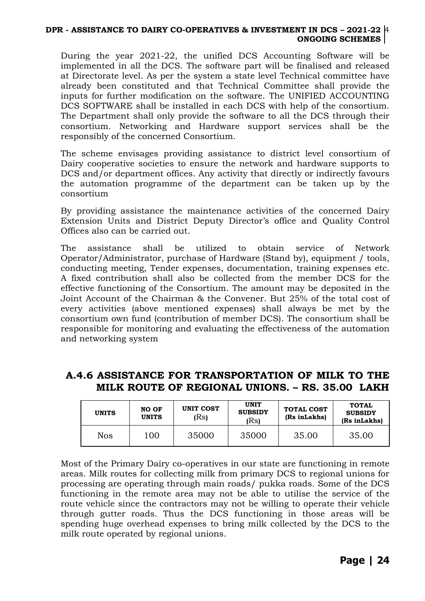#### **DPR - ASSISTANCE TO DAIRY CO-OPERATIVES & INVESTMENT IN DCS – 2021-22** 24 **ONGOING SCHEMES**

During the year 2021-22, the unified DCS Accounting Software will be implemented in all the DCS. The software part will be finalised and released at Directorate level. As per the system a state level Technical committee have already been constituted and that Technical Committee shall provide the inputs for further modification on the software. The UNIFIED ACCOUNTING DCS SOFTWARE shall be installed in each DCS with help of the consortium. The Department shall only provide the software to all the DCS through their consortium. Networking and Hardware support services shall be the responsibly of the concerned Consortium.

The scheme envisages providing assistance to district level consortium of Dairy cooperative societies to ensure the network and hardware supports to DCS and/or department offices. Any activity that directly or indirectly favours the automation programme of the department can be taken up by the consortium

By providing assistance the maintenance activities of the concerned Dairy Extension Units and District Deputy Director's office and Quality Control Offices also can be carried out.

The assistance shall be utilized to obtain service of Network Operator/Administrator, purchase of Hardware (Stand by), equipment / tools, conducting meeting, Tender expenses, documentation, training expenses etc. A fixed contribution shall also be collected from the member DCS for the effective functioning of the Consortium. The amount may be deposited in the Joint Account of the Chairman & the Convener. But 25% of the total cost of every activities (above mentioned expenses) shall always be met by the consortium own fund (contribution of member DCS). The consortium shall be responsible for monitoring and evaluating the effectiveness of the automation and networking system

## **A.4.6 ASSISTANCE FOR TRANSPORTATION OF MILK TO THE MILK ROUTE OF REGIONAL UNIONS. – RS. 35.00 LAKH**

| <b>UNITS</b> | UNIT COST<br>NO OF<br>(Rs)<br><b>UNITS</b> |       | <b>UNIT</b><br><b>SUBSIDY</b><br>(Rs) | <b>TOTAL COST</b><br>(Rs in Lakhs) | <b>TOTAL</b><br><b>SUBSIDY</b><br>(Rs in Lakhs) |  |
|--------------|--------------------------------------------|-------|---------------------------------------|------------------------------------|-------------------------------------------------|--|
| <b>Nos</b>   | 100                                        | 35000 | 35000                                 | 35.00                              | 35.00                                           |  |

Most of the Primary Dairy co-operatives in our state are functioning in remote areas. Milk routes for collecting milk from primary DCS to regional unions for processing are operating through main roads/ pukka roads. Some of the DCS functioning in the remote area may not be able to utilise the service of the route vehicle since the contractors may not be willing to operate their vehicle through gutter roads. Thus the DCS functioning in those areas will be spending huge overhead expenses to bring milk collected by the DCS to the milk route operated by regional unions.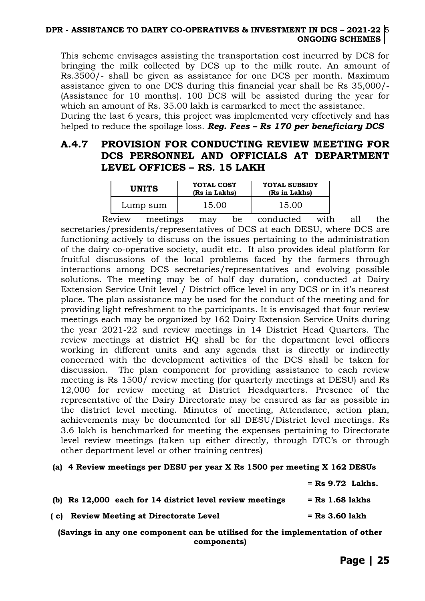#### **DPR - ASSISTANCE TO DAIRY CO-OPERATIVES & INVESTMENT IN DCS – 2021-22** 25 **ONGOING SCHEMES**

This scheme envisages assisting the transportation cost incurred by DCS for bringing the milk collected by DCS up to the milk route. An amount of Rs.3500/- shall be given as assistance for one DCS per month. Maximum assistance given to one DCS during this financial year shall be Rs 35,000/- (Assistance for 10 months). 100 DCS will be assisted during the year for which an amount of Rs. 35.00 lakh is earmarked to meet the assistance. During the last 6 years, this project was implemented very effectively and has

helped to reduce the spoilage loss. *Reg. Fees – Rs 170 per beneficiary DCS*

## **A.4.7 PROVISION FOR CONDUCTING REVIEW MEETING FOR DCS PERSONNEL AND OFFICIALS AT DEPARTMENT LEVEL OFFICES – RS. 15 LAKH**

| <b>TOTAL COST</b><br><b>UNITS</b><br>(Rs in Lakhs) |       | <b>TOTAL SUBSIDY</b><br>(Rs in Lakhs) |
|----------------------------------------------------|-------|---------------------------------------|
| Lump sum                                           | 15.00 | 15.00                                 |

Review meetings may be conducted with all the secretaries/presidents/representatives of DCS at each DESU, where DCS are functioning actively to discuss on the issues pertaining to the administration of the dairy co-operative society, audit etc. It also provides ideal platform for fruitful discussions of the local problems faced by the farmers through interactions among DCS secretaries/representatives and evolving possible solutions. The meeting may be of half day duration, conducted at Dairy Extension Service Unit level / District office level in any DCS or in it's nearest place. The plan assistance may be used for the conduct of the meeting and for providing light refreshment to the participants. It is envisaged that four review meetings each may be organized by 162 Dairy Extension Service Units during the year 2021-22 and review meetings in 14 District Head Quarters. The review meetings at district HQ shall be for the department level officers working in different units and any agenda that is directly or indirectly concerned with the development activities of the DCS shall be taken for discussion. The plan component for providing assistance to each review meeting is Rs 1500/ review meeting (for quarterly meetings at DESU) and Rs 12,000 for review meeting at District Headquarters. Presence of the representative of the Dairy Directorate may be ensured as far as possible in the district level meeting. Minutes of meeting, Attendance, action plan, achievements may be documented for all DESU/District level meetings. Rs 3.6 lakh is benchmarked for meeting the expenses pertaining to Directorate level review meetings (taken up either directly, through DTC's or through other department level or other training centres)

#### **(a) 4 Review meetings per DESU per year X Rs 1500 per meeting X 162 DESUs**

|                                                          | $=$ Rs 9.72 Lakhs. |
|----------------------------------------------------------|--------------------|
| (b) Rs 12,000 each for 14 district level review meetings | $=$ Rs 1.68 lakhs  |
| (c) Review Meeting at Directorate Level                  | $=$ Rs 3.60 lakh   |

**(Savings in any one component can be utilised for the implementation of other components)**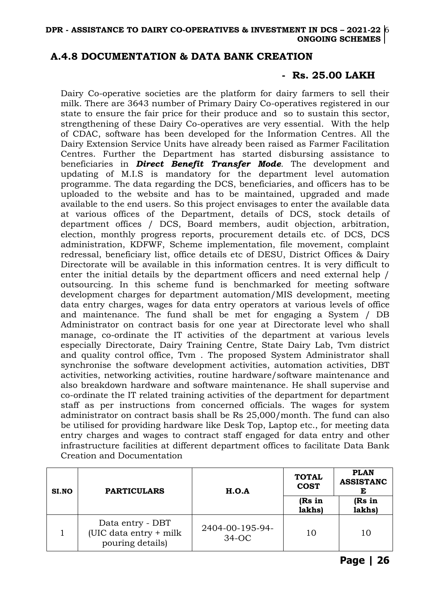#### **DPR - ASSISTANCE TO DAIRY CO-OPERATIVES & INVESTMENT IN DCS – 2021-22** 26 **ONGOING SCHEMES**

## **A.4.8 DOCUMENTATION & DATA BANK CREATION**

## **- Rs. 25.00 LAKH**

Dairy Co-operative societies are the platform for dairy farmers to sell their milk. There are 3643 number of Primary Dairy Co-operatives registered in our state to ensure the fair price for their produce and so to sustain this sector, strengthening of these Dairy Co-operatives are very essential. With the help of CDAC, software has been developed for the Information Centres. All the Dairy Extension Service Units have already been raised as Farmer Facilitation Centres. Further the Department has started disbursing assistance to beneficiaries in *Direct Benefit Transfer Mode*. The development and updating of M.I.S is mandatory for the department level automation programme. The data regarding the DCS, beneficiaries, and officers has to be uploaded to the website and has to be maintained, upgraded and made available to the end users. So this project envisages to enter the available data at various offices of the Department, details of DCS, stock details of department offices / DCS, Board members, audit objection, arbitration, election, monthly progress reports, procurement details etc. of DCS, DCS administration, KDFWF, Scheme implementation, file movement, complaint redressal, beneficiary list, office details etc of DESU, District Offices & Dairy Directorate will be available in this information centres. It is very difficult to enter the initial details by the department officers and need external help / outsourcing. In this scheme fund is benchmarked for meeting software development charges for department automation/MIS development, meeting data entry charges, wages for data entry operators at various levels of office and maintenance. The fund shall be met for engaging a System / DB Administrator on contract basis for one year at Directorate level who shall manage, co-ordinate the IT activities of the department at various levels especially Directorate, Dairy Training Centre, State Dairy Lab, Tvm district and quality control office, Tvm . The proposed System Administrator shall synchronise the software development activities, automation activities, DBT activities, networking activities, routine hardware/software maintenance and also breakdown hardware and software maintenance. He shall supervise and co-ordinate the IT related training activities of the department for department staff as per instructions from concerned officials. The wages for system administrator on contract basis shall be Rs 25,000/month. The fund can also be utilised for providing hardware like Desk Top, Laptop etc., for meeting data entry charges and wages to contract staff engaged for data entry and other infrastructure facilities at different department offices to facilitate Data Bank Creation and Documentation

| <b>SI.NO</b> | <b>PARTICULARS</b>                                             | H.O.A                      | <b>TOTAL</b><br><b>COST</b><br>(Rs in<br>lakhs) | <b>PLAN</b><br><b>ASSISTANC</b><br>E<br>(Rs in<br>lakhs) |
|--------------|----------------------------------------------------------------|----------------------------|-------------------------------------------------|----------------------------------------------------------|
|              | Data entry - DBT<br>(UIC data entry + milk<br>pouring details) | 2404-00-195-94-<br>$34-OC$ | 10                                              | 10                                                       |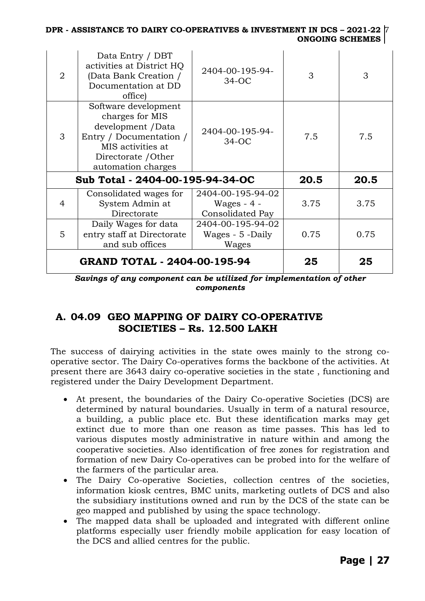#### **DPR - ASSISTANCE TO DAIRY CO-OPERATIVES & INVESTMENT IN DCS – 2021-22** 27 **ONGOING SCHEMES**

| $\overline{2}$               | Data Entry / DBT<br>activities at District HQ<br>(Data Bank Creation /<br>Documentation at DD<br>office)                                                   | 2404-00-195-94-<br>$34-OC$                            | 3    | 3    |
|------------------------------|------------------------------------------------------------------------------------------------------------------------------------------------------------|-------------------------------------------------------|------|------|
| 3                            | Software development<br>charges for MIS<br>development / Data<br>Entry / Documentation /<br>MIS activities at<br>Directorate / Other<br>automation charges | 2404-00-195-94-<br>$34-OC$                            | 7.5  | 7.5  |
|                              | Sub Total - 2404-00-195-94-34-OC                                                                                                                           | 20.5                                                  | 20.5 |      |
| 4                            | Consolidated wages for<br>System Admin at<br>Directorate                                                                                                   | 2404-00-195-94-02<br>Wages $-4$ -<br>Consolidated Pay | 3.75 | 3.75 |
| 5                            | Daily Wages for data<br>entry staff at Directorate<br>and sub offices                                                                                      | 2404-00-195-94-02<br>Wages - 5 -Daily<br>Wages        | 0.75 | 0.75 |
| GRAND TOTAL - 2404-00-195-94 |                                                                                                                                                            |                                                       | 25   | 25   |

*Savings of any component can be utilized for implementation of other components*

## **A. 04.09 GEO MAPPING OF DAIRY CO-OPERATIVE SOCIETIES – Rs. 12.500 LAKH**

The success of dairying activities in the state owes mainly to the strong cooperative sector. The Dairy Co-operatives forms the backbone of the activities. At present there are 3643 dairy co-operative societies in the state , functioning and registered under the Dairy Development Department.

- At present, the boundaries of the Dairy Co-operative Societies (DCS) are determined by natural boundaries. Usually in term of a natural resource, a building, a public place etc. But these identification marks may get extinct due to more than one reason as time passes. This has led to various disputes mostly administrative in nature within and among the cooperative societies. Also identification of free zones for registration and formation of new Dairy Co-operatives can be probed into for the welfare of the farmers of the particular area.
- The Dairy Co-operative Societies, collection centres of the societies, information kiosk centres, BMC units, marketing outlets of DCS and also the subsidiary institutions owned and run by the DCS of the state can be geo mapped and published by using the space technology.
- The mapped data shall be uploaded and integrated with different online platforms especially user friendly mobile application for easy location of the DCS and allied centres for the public.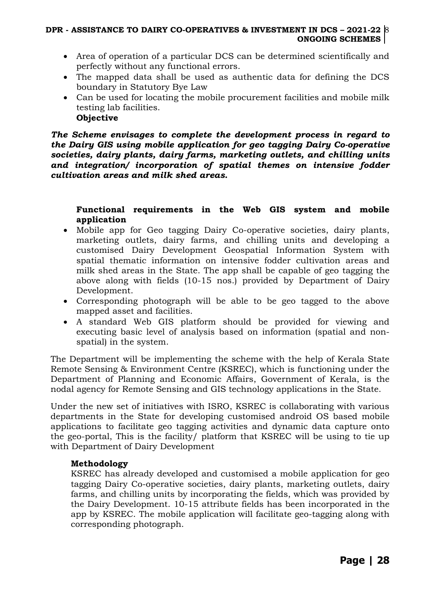#### **DPR - ASSISTANCE TO DAIRY CO-OPERATIVES & INVESTMENT IN DCS – 2021-22** 28 **ONGOING SCHEMES**

- Area of operation of a particular DCS can be determined scientifically and perfectly without any functional errors.
- The mapped data shall be used as authentic data for defining the DCS boundary in Statutory Bye Law
- Can be used for locating the mobile procurement facilities and mobile milk testing lab facilities. **Objective**

*The Scheme envisages to complete the development process in regard to the Dairy GIS using mobile application for geo tagging Dairy Co-operative societies, dairy plants, dairy farms, marketing outlets, and chilling units and integration/ incorporation of spatial themes on intensive fodder cultivation areas and milk shed areas.* 

#### **Functional requirements in the Web GIS system and mobile application**

- Mobile app for Geo tagging Dairy Co-operative societies, dairy plants, marketing outlets, dairy farms, and chilling units and developing a customised Dairy Development Geospatial Information System with spatial thematic information on intensive fodder cultivation areas and milk shed areas in the State. The app shall be capable of geo tagging the above along with fields (10-15 nos.) provided by Department of Dairy Development.
- Corresponding photograph will be able to be geo tagged to the above mapped asset and facilities.
- A standard Web GIS platform should be provided for viewing and executing basic level of analysis based on information (spatial and nonspatial) in the system.

The Department will be implementing the scheme with the help of Kerala State Remote Sensing & Environment Centre (KSREC), which is functioning under the Department of Planning and Economic Affairs, Government of Kerala, is the nodal agency for Remote Sensing and GIS technology applications in the State.

Under the new set of initiatives with ISRO, KSREC is collaborating with various departments in the State for developing customised android OS based mobile applications to facilitate geo tagging activities and dynamic data capture onto the geo-portal, This is the facility/ platform that KSREC will be using to tie up with Department of Dairy Development

#### **Methodology**

KSREC has already developed and customised a mobile application for geo tagging Dairy Co-operative societies, dairy plants, marketing outlets, dairy farms, and chilling units by incorporating the fields, which was provided by the Dairy Development. 10-15 attribute fields has been incorporated in the app by KSREC. The mobile application will facilitate geo-tagging along with corresponding photograph.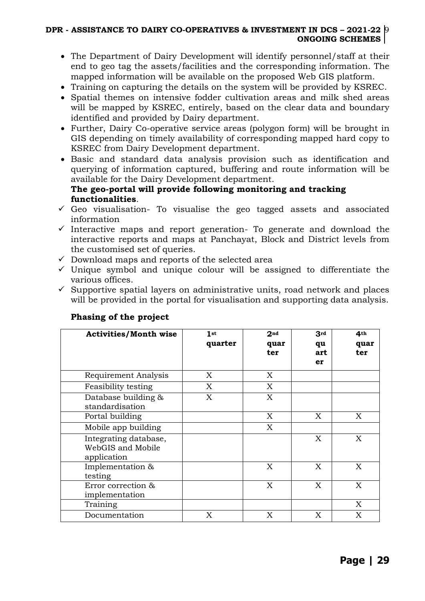#### **DPR - ASSISTANCE TO DAIRY CO-OPERATIVES & INVESTMENT IN DCS – 2021-22** 29 **ONGOING SCHEMES**

- The Department of Dairy Development will identify personnel/staff at their end to geo tag the assets/facilities and the corresponding information. The mapped information will be available on the proposed Web GIS platform.
- Training on capturing the details on the system will be provided by KSREC.
- Spatial themes on intensive fodder cultivation areas and milk shed areas will be mapped by KSREC, entirely, based on the clear data and boundary identified and provided by Dairy department.
- Further, Dairy Co-operative service areas (polygon form) will be brought in GIS depending on timely availability of corresponding mapped hard copy to KSREC from Dairy Development department.
- Basic and standard data analysis provision such as identification and querying of information captured, buffering and route information will be available for the Dairy Development department.

#### **The geo-portal will provide following monitoring and tracking functionalities**.

- $\checkmark$  Geo visualisation- To visualise the geo tagged assets and associated information
- $\checkmark$  Interactive maps and report generation- To generate and download the interactive reports and maps at Panchayat, Block and District levels from the customised set of queries.
- $\checkmark$  Download maps and reports of the selected area
- $\checkmark$  Unique symbol and unique colour will be assigned to differentiate the various offices.
- $\checkmark$  Supportive spatial layers on administrative units, road network and places will be provided in the portal for visualisation and supporting data analysis.

| <b>Activities/Month wise</b>                              | 1 <sub>st</sub><br>quarter | 2 <sub>nd</sub><br>quar<br>ter | 3rd<br>qu<br>art<br>er | 4 <sup>th</sup><br>quar<br>ter |
|-----------------------------------------------------------|----------------------------|--------------------------------|------------------------|--------------------------------|
| Requirement Analysis                                      | X                          | X                              |                        |                                |
| Feasibility testing                                       | X                          | X                              |                        |                                |
| Database building &<br>standardisation                    | X                          | X                              |                        |                                |
| Portal building                                           |                            | X                              | X                      | X                              |
| Mobile app building                                       |                            | X                              |                        |                                |
| Integrating database,<br>WebGIS and Mobile<br>application |                            |                                | X                      | X                              |
| Implementation &<br>testing                               |                            | X                              | X                      | X                              |
| Error correction &<br>implementation                      |                            | X                              | X                      | X                              |
| Training                                                  |                            |                                |                        | X                              |
| Documentation                                             | X                          | X                              | X                      | X                              |

#### **Phasing of the project**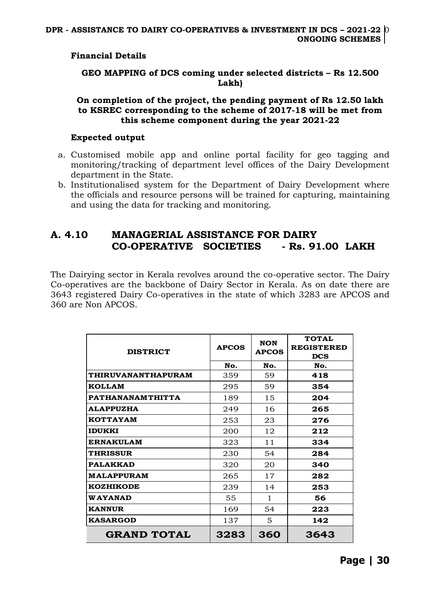#### **Financial Details**

### **GEO MAPPING of DCS coming under selected districts – Rs 12.500 Lakh)**

#### **On completion of the project, the pending payment of Rs 12.50 lakh to KSREC corresponding to the scheme of 2017-18 will be met from this scheme component during the year 2021-22**

#### **Expected output**

- a. Customised mobile app and online portal facility for geo tagging and monitoring/tracking of department level offices of the Dairy Development department in the State.
- b. Institutionalised system for the Department of Dairy Development where the officials and resource persons will be trained for capturing, maintaining and using the data for tracking and monitoring.

## **A. 4.10 MANAGERIAL ASSISTANCE FOR DAIRY CO-OPERATIVE SOCIETIES - Rs. 91.00 LAKH**

The Dairying sector in Kerala revolves around the co-operative sector. The Dairy Co-operatives are the backbone of Dairy Sector in Kerala. As on date there are 3643 registered Dairy Co-operatives in the state of which 3283 are APCOS and 360 are Non APCOS.

| <b>DISTRICT</b>         | <b>APCOS</b> | <b>NON</b><br><b>APCOS</b> | <b>TOTAL</b><br><b>REGISTERED</b><br><b>DCS</b> |  |
|-------------------------|--------------|----------------------------|-------------------------------------------------|--|
|                         | No.          | No.                        | No.                                             |  |
| THIRUVANANTHAPURAM      | 359          | 59                         | 418                                             |  |
| <b>KOLLAM</b>           | 295          | 59                         | 354                                             |  |
| <b>PATHANANAMTHITTA</b> | 189          | 15                         | 204                                             |  |
| <b>ALAPPUZHA</b>        | 249          | 16                         | 265                                             |  |
| <b>KOTTAYAM</b>         | 253          | 23                         | 276                                             |  |
| <b>IDUKKI</b>           | 200          | 12                         | 212                                             |  |
| <b>ERNAKULAM</b>        | 323          | 11                         | 334                                             |  |
| <b>THRISSUR</b>         | 230          | 54                         | 284                                             |  |
| <b>PALAKKAD</b>         | 320          | 20                         | 340                                             |  |
| <b>MALAPPURAM</b>       | 265          | 17                         | 282                                             |  |
| <b>KOZHIKODE</b>        | 239          | 14                         | 253                                             |  |
| <b>WAYANAD</b>          | 55           | 1                          | 56                                              |  |
| <b>KANNUR</b>           | 169          | 54                         | 223                                             |  |
| <b>KASARGOD</b>         | 137          | 5                          | 142                                             |  |
| <b>GRAND TOTAL</b>      | 3283         | 360                        | 3643                                            |  |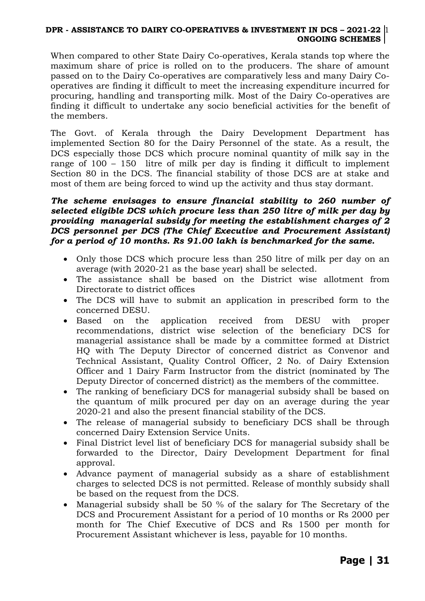#### **DPR - ASSISTANCE TO DAIRY CO-OPERATIVES & INVESTMENT IN DCS – 2021-22** 31 **ONGOING SCHEMES**

When compared to other State Dairy Co-operatives, Kerala stands top where the maximum share of price is rolled on to the producers. The share of amount passed on to the Dairy Co-operatives are comparatively less and many Dairy Cooperatives are finding it difficult to meet the increasing expenditure incurred for procuring, handling and transporting milk. Most of the Dairy Co-operatives are finding it difficult to undertake any socio beneficial activities for the benefit of the members.

The Govt. of Kerala through the Dairy Development Department has implemented Section 80 for the Dairy Personnel of the state. As a result, the DCS especially those DCS which procure nominal quantity of milk say in the range of 100 – 150 litre of milk per day is finding it difficult to implement Section 80 in the DCS. The financial stability of those DCS are at stake and most of them are being forced to wind up the activity and thus stay dormant.

#### *The scheme envisages to ensure financial stability to 260 number of selected eligible DCS which procure less than 250 litre of milk per day by providing managerial subsidy for meeting the establishment charges of 2 DCS personnel per DCS (The Chief Executive and Procurement Assistant) for a period of 10 months. Rs 91.00 lakh is benchmarked for the same.*

- Only those DCS which procure less than 250 litre of milk per day on an average (with 2020-21 as the base year) shall be selected.
- The assistance shall be based on the District wise allotment from Directorate to district offices
- The DCS will have to submit an application in prescribed form to the concerned DESU.
- Based on the application received from DESU with proper recommendations, district wise selection of the beneficiary DCS for managerial assistance shall be made by a committee formed at District HQ with The Deputy Director of concerned district as Convenor and Technical Assistant, Quality Control Officer, 2 No. of Dairy Extension Officer and 1 Dairy Farm Instructor from the district (nominated by The Deputy Director of concerned district) as the members of the committee.
- The ranking of beneficiary DCS for managerial subsidy shall be based on the quantum of milk procured per day on an average during the year 2020-21 and also the present financial stability of the DCS.
- The release of managerial subsidy to beneficiary DCS shall be through concerned Dairy Extension Service Units.
- Final District level list of beneficiary DCS for managerial subsidy shall be forwarded to the Director, Dairy Development Department for final approval.
- Advance payment of managerial subsidy as a share of establishment charges to selected DCS is not permitted. Release of monthly subsidy shall be based on the request from the DCS.
- Managerial subsidy shall be 50 % of the salary for The Secretary of the DCS and Procurement Assistant for a period of 10 months or Rs 2000 per month for The Chief Executive of DCS and Rs 1500 per month for Procurement Assistant whichever is less, payable for 10 months.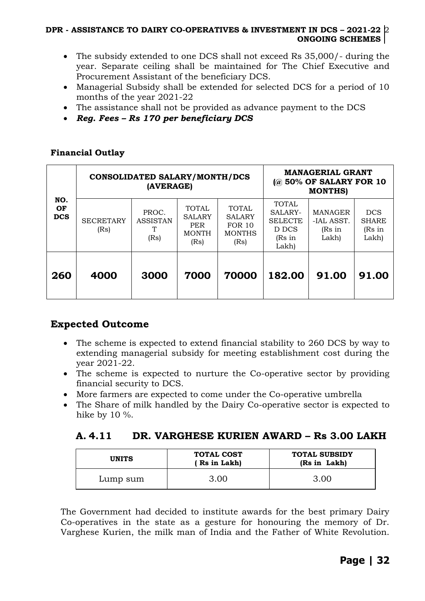#### **DPR - ASSISTANCE TO DAIRY CO-OPERATIVES & INVESTMENT IN DCS – 2021-22** 32 **ONGOING SCHEMES**

- The subsidy extended to one DCS shall not exceed Rs 35,000/- during the year. Separate ceiling shall be maintained for The Chief Executive and Procurement Assistant of the beneficiary DCS.
- Managerial Subsidy shall be extended for selected DCS for a period of 10 months of the year 2021-22
- The assistance shall not be provided as advance payment to the DCS
- *Reg. Fees – Rs 170 per beneficiary DCS*

### **Financial Outlay**

| NO.<br>OF<br><b>DCS</b> | CONSOLIDATED SALARY/MONTH/DCS<br>(AVERAGE) |                                  |                                                                     |                                                                  | <b>MANAGERIAL GRANT</b><br>$(a)$ 50% OF SALARY FOR 10<br><b>MONTHS)</b> |                                                 |                                               |
|-------------------------|--------------------------------------------|----------------------------------|---------------------------------------------------------------------|------------------------------------------------------------------|-------------------------------------------------------------------------|-------------------------------------------------|-----------------------------------------------|
|                         | <b>SECRETARY</b><br>(Rs)                   | PROC.<br><b>ASSISTAN</b><br>(Rs) | <b>TOTAL</b><br><b>SALARY</b><br><b>PER</b><br><b>MONTH</b><br>(Rs) | TOTAL<br><b>SALARY</b><br><b>FOR 10</b><br><b>MONTHS</b><br>(Rs) | <b>TOTAL</b><br>SALARY-<br><b>SELECTE</b><br>D DCS<br>(Rs in<br>Lakh)   | <b>MANAGER</b><br>-IAL ASST.<br>(Rs in<br>Lakh) | <b>DCS</b><br><b>SHARE</b><br>(Rs in<br>Lakh) |
| 260                     | 4000                                       | 3000                             | 7000                                                                | 70000                                                            | 182.00                                                                  | 91.00                                           | 91.00                                         |

## **Expected Outcome**

- The scheme is expected to extend financial stability to 260 DCS by way to extending managerial subsidy for meeting establishment cost during the year 2021-22.
- The scheme is expected to nurture the Co-operative sector by providing financial security to DCS.
- More farmers are expected to come under the Co-operative umbrella
- The Share of milk handled by the Dairy Co-operative sector is expected to hike by 10 %.

**A. 4.11 DR. VARGHESE KURIEN AWARD – Rs 3.00 LAKH**

| <b>UNITS</b> | <b>TOTAL COST</b><br>( Rs in Lakh) | <b>TOTAL SUBSIDY</b><br>(Rs in Lakh) |
|--------------|------------------------------------|--------------------------------------|
| Lump sum     | 3.00                               | 3.00                                 |

The Government had decided to institute awards for the best primary Dairy Co-operatives in the state as a gesture for honouring the memory of Dr. Varghese Kurien, the milk man of India and the Father of White Revolution.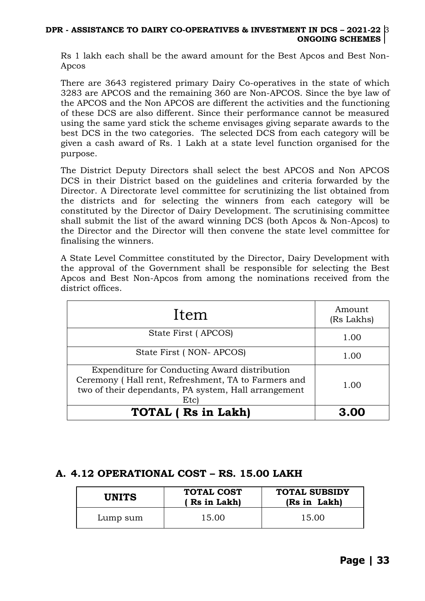#### **DPR - ASSISTANCE TO DAIRY CO-OPERATIVES & INVESTMENT IN DCS – 2021-22** 33 **ONGOING SCHEMES**

Rs 1 lakh each shall be the award amount for the Best Apcos and Best Non-Apcos

There are 3643 registered primary Dairy Co-operatives in the state of which 3283 are APCOS and the remaining 360 are Non-APCOS. Since the bye law of the APCOS and the Non APCOS are different the activities and the functioning of these DCS are also different. Since their performance cannot be measured using the same yard stick the scheme envisages giving separate awards to the best DCS in the two categories. The selected DCS from each category will be given a cash award of Rs. 1 Lakh at a state level function organised for the purpose.

The District Deputy Directors shall select the best APCOS and Non APCOS DCS in their District based on the guidelines and criteria forwarded by the Director. A Directorate level committee for scrutinizing the list obtained from the districts and for selecting the winners from each category will be constituted by the Director of Dairy Development. The scrutinising committee shall submit the list of the award winning DCS (both Apcos & Non-Apcos) to the Director and the Director will then convene the state level committee for finalising the winners.

A State Level Committee constituted by the Director, Dairy Development with the approval of the Government shall be responsible for selecting the Best Apcos and Best Non-Apcos from among the nominations received from the district offices.

| Item                                                                                                                                                                 | Amount<br>(Rs Lakhs) |
|----------------------------------------------------------------------------------------------------------------------------------------------------------------------|----------------------|
| State First (APCOS)                                                                                                                                                  | 1.00                 |
| State First (NON-APCOS)                                                                                                                                              | 1.00                 |
| Expenditure for Conducting Award distribution<br>Ceremony (Hall rent, Refreshment, TA to Farmers and<br>two of their dependants, PA system, Hall arrangement<br>Etc) | 1.00                 |
| <b>TOTAL</b> (Rs in Lakh)                                                                                                                                            | 3.00                 |

## **A. 4.12 OPERATIONAL COST – RS. 15.00 LAKH**

| <b>UNITS</b> | <b>TOTAL COST</b><br>( Rs in Lakh) | <b>TOTAL SUBSIDY</b><br>(Rs in Lakh) |
|--------------|------------------------------------|--------------------------------------|
| Lump sum     | 15.00                              | 15.00                                |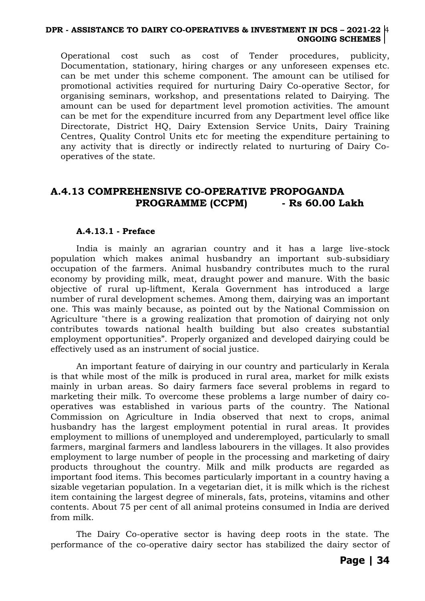#### **DPR - ASSISTANCE TO DAIRY CO-OPERATIVES & INVESTMENT IN DCS – 2021-22** 34 **ONGOING SCHEMES**

Operational cost such as cost of Tender procedures, publicity, Documentation, stationary, hiring charges or any unforeseen expenses etc. can be met under this scheme component. The amount can be utilised for promotional activities required for nurturing Dairy Co-operative Sector, for organising seminars, workshop, and presentations related to Dairying. The amount can be used for department level promotion activities. The amount can be met for the expenditure incurred from any Department level office like Directorate, District HQ, Dairy Extension Service Units, Dairy Training Centres, Quality Control Units etc for meeting the expenditure pertaining to any activity that is directly or indirectly related to nurturing of Dairy Cooperatives of the state.

## **A.4.13 COMPREHENSIVE CO-OPERATIVE PROPOGANDA PROGRAMME (CCPM) - Rs 60.00 Lakh**

#### **A.4.13.1 - Preface**

India is mainly an agrarian country and it has a large live-stock population which makes animal husbandry an important sub-subsidiary occupation of the farmers. Animal husbandry contributes much to the rural economy by providing milk, meat, draught power and manure. With the basic objective of rural up-liftment, Kerala Government has introduced a large number of rural development schemes. Among them, dairying was an important one. This was mainly because, as pointed out by the National Commission on Agriculture "there is a growing realization that promotion of dairying not only contributes towards national health building but also creates substantial employment opportunities". Properly organized and developed dairying could be effectively used as an instrument of social justice.

An important feature of dairying in our country and particularly in Kerala is that while most of the milk is produced in rural area, market for milk exists mainly in urban areas. So dairy farmers face several problems in regard to marketing their milk. To overcome these problems a large number of dairy cooperatives was established in various parts of the country. The National Commission on Agriculture in India observed that next to crops, animal husbandry has the largest employment potential in rural areas. It provides employment to millions of unemployed and underemployed, particularly to small farmers, marginal farmers and landless labourers in the villages. It also provides employment to large number of people in the processing and marketing of dairy products throughout the country. Milk and milk products are regarded as important food items. This becomes particularly important in a country having a sizable vegetarian population. In a vegetarian diet, it is milk which is the richest item containing the largest degree of minerals, fats, proteins, vitamins and other contents. About 75 per cent of all animal proteins consumed in India are derived from milk.

The Dairy Co-operative sector is having deep roots in the state. The performance of the co-operative dairy sector has stabilized the dairy sector of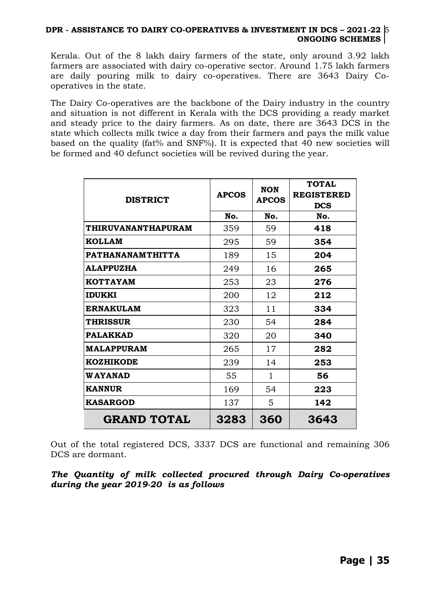#### **DPR - ASSISTANCE TO DAIRY CO-OPERATIVES & INVESTMENT IN DCS – 2021-22** 35 **ONGOING SCHEMES**

Kerala. Out of the 8 lakh dairy farmers of the state, only around 3.92 lakh farmers are associated with dairy co-operative sector. Around 1.75 lakh farmers are daily pouring milk to dairy co-operatives. There are 3643 Dairy Cooperatives in the state.

The Dairy Co-operatives are the backbone of the Dairy industry in the country and situation is not different in Kerala with the DCS providing a ready market and steady price to the dairy farmers. As on date, there are 3643 DCS in the state which collects milk twice a day from their farmers and pays the milk value based on the quality (fat% and SNF%). It is expected that 40 new societies will be formed and 40 defunct societies will be revived during the year.

| <b>DISTRICT</b>         | <b>APCOS</b> | <b>NON</b><br><b>APCOS</b> | <b>TOTAL</b><br><b>REGISTERED</b><br><b>DCS</b> |
|-------------------------|--------------|----------------------------|-------------------------------------------------|
|                         | No.          | No.                        | No.                                             |
| THIRUVANANTHAPURAM      | 359          | 59                         | 418                                             |
| <b>KOLLAM</b>           | 295          | 59                         | 354                                             |
| <b>PATHANANAMTHITTA</b> | 189          | 15                         | 204                                             |
| <b>ALAPPUZHA</b>        | 249          | 16                         | 265                                             |
| <b>KOTTAYAM</b>         | 253          | 23                         | 276                                             |
| <b>IDUKKI</b>           | 200          | 12                         | 212                                             |
| <b>ERNAKULAM</b>        | 323          | 11                         | 334                                             |
| <b>THRISSUR</b>         | 230          | 54                         | 284                                             |
| <b>PALAKKAD</b>         | 320          | 20                         | 340                                             |
| <b>MALAPPURAM</b>       | 265          | 17                         | 282                                             |
| <b>KOZHIKODE</b>        | 239          | 14                         | 253                                             |
| <b>WAYANAD</b>          | 55           | 1                          | 56                                              |
| <b>KANNUR</b>           | 169          | 54                         | 223                                             |
| <b>KASARGOD</b>         | 137          | 5                          | 142                                             |
| <b>GRAND TOTAL</b>      | 3283         | 360                        | 3643                                            |

Out of the total registered DCS, 3337 DCS are functional and remaining 306 DCS are dormant.

*The Quantity of milk collected procured through Dairy Co-operatives during the year 2019-20 is as follows*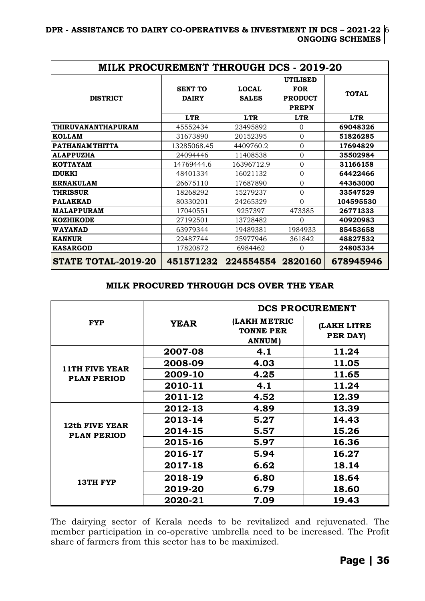#### **DPR - ASSISTANCE TO DAIRY CO-OPERATIVES & INVESTMENT IN DCS – 2021-22** 36 **ONGOING SCHEMES**

| <b>MILK PROCUREMENT THROUGH DCS - 2019-20</b> |                                |                              |                                                                 |              |
|-----------------------------------------------|--------------------------------|------------------------------|-----------------------------------------------------------------|--------------|
| <b>DISTRICT</b>                               | <b>SENT TO</b><br><b>DAIRY</b> | <b>LOCAL</b><br><b>SALES</b> | <b>UTILISED</b><br><b>FOR</b><br><b>PRODUCT</b><br><b>PREPN</b> | <b>TOTAL</b> |
|                                               | <b>LTR</b>                     | <b>LTR</b>                   | <b>LTR</b>                                                      | <b>LTR</b>   |
| <b>THIRUVANANTHAPURAM</b>                     | 45552434                       | 23495892                     | $\Omega$                                                        | 69048326     |
| KOLLAM                                        | 31673890                       | 20152395                     | 0                                                               | 51826285     |
| PATHANAM THITTA                               | 13285068.45                    | 4409760.2                    | $\Omega$                                                        | 17694829     |
| <b>ALAPPUZHA</b>                              | 24094446                       | 11408538                     | $\Omega$                                                        | 35502984     |
| <b>KOTTAYAM</b>                               | 14769444.6                     | 16396712.9                   | $\mathbf{0}$                                                    | 31166158     |
| <b>IDUKKI</b>                                 | 48401334                       | 16021132                     | 0                                                               | 64422466     |
| <b>ERNAKULAM</b>                              | 26675110                       | 17687890                     | $\mathbf{0}$                                                    | 44363000     |
| <b>THRISSUR</b>                               | 18268292                       | 15279237                     | $\boldsymbol{0}$                                                | 33547529     |
| <b>PALAKKAD</b>                               | 80330201                       | 24265329                     | $\Omega$                                                        | 104595530    |
| <b>MALAPPURAM</b>                             | 17040551                       | 9257397                      | 473385                                                          | 26771333     |
| KOZHIKODE                                     | 27192501                       | 13728482                     | $\Omega$                                                        | 40920983     |
| <b>WAYANAD</b>                                | 63979344                       | 19489381                     | 1984933                                                         | 85453658     |
| <b>KANNUR</b>                                 | 22487744                       | 25977946                     | 361842                                                          | 48827532     |
| <b>KASARGOD</b>                               | 17820872                       | 6984462                      | 0                                                               | 24805334     |
| <b>STATE TOTAL-2019-20</b>                    | 451571232                      | 224554554   2820160          |                                                                 | 678945946    |

|                                      |             | MILK PROCURED THROUGH DCS OVER THE YEAR           |                         |  |
|--------------------------------------|-------------|---------------------------------------------------|-------------------------|--|
| <b>FYP</b>                           |             | <b>DCS PROCUREMENT</b>                            |                         |  |
|                                      | <b>YEAR</b> | (LAKH METRIC<br><b>TONNE PER</b><br><b>ANNUM)</b> | (LAKH LITRE<br>PER DAY) |  |
|                                      | 2007-08     | 4.1                                               | 11.24                   |  |
| <b>11TH FIVE YEAR</b>                | 2008-09     | 4.03                                              | 11.05                   |  |
| <b>PLAN PERIOD</b>                   | 2009-10     | 4.25                                              | 11.65                   |  |
|                                      | 2010-11     | 4.1                                               | 11.24                   |  |
|                                      | 2011-12     | 4.52                                              | 12.39                   |  |
|                                      | 2012-13     | 4.89                                              | 13.39                   |  |
|                                      | 2013-14     | 5.27                                              | 14.43                   |  |
| 12th FIVE YEAR<br><b>PLAN PERIOD</b> | 2014-15     | 5.57                                              | 15.26                   |  |
|                                      | 2015-16     | 5.97                                              | 16.36                   |  |
|                                      | 2016-17     | 5.94                                              | 16.27                   |  |
|                                      | 2017-18     | 6.62                                              | 18.14                   |  |
| 13TH FYP                             | 2018-19     | 6.80                                              | 18.64                   |  |
|                                      | 2019-20     | 6.79                                              | 18.60                   |  |
|                                      | 2020-21     | 7.09                                              | 19.43                   |  |

The dairying sector of Kerala needs to be revitalized and rejuvenated. The member participation in co-operative umbrella need to be increased. The Profit share of farmers from this sector has to be maximized.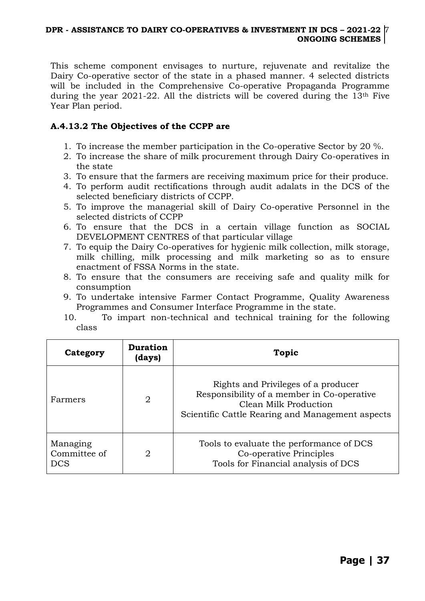#### **DPR - ASSISTANCE TO DAIRY CO-OPERATIVES & INVESTMENT IN DCS – 2021-22** 37 **ONGOING SCHEMES**

This scheme component envisages to nurture, rejuvenate and revitalize the Dairy Co-operative sector of the state in a phased manner. 4 selected districts will be included in the Comprehensive Co-operative Propaganda Programme during the year  $2021-22$ . All the districts will be covered during the 13<sup>th</sup> Five Year Plan period.

### **A.4.13.2 The Objectives of the CCPP are**

- 1. To increase the member participation in the Co-operative Sector by 20 %.
- 2. To increase the share of milk procurement through Dairy Co-operatives in the state
- 3. To ensure that the farmers are receiving maximum price for their produce.
- 4. To perform audit rectifications through audit adalats in the DCS of the selected beneficiary districts of CCPP.
- 5. To improve the managerial skill of Dairy Co-operative Personnel in the selected districts of CCPP
- 6. To ensure that the DCS in a certain village function as SOCIAL DEVELOPMENT CENTRES of that particular village
- 7. To equip the Dairy Co-operatives for hygienic milk collection, milk storage, milk chilling, milk processing and milk marketing so as to ensure enactment of FSSA Norms in the state.
- 8. To ensure that the consumers are receiving safe and quality milk for consumption
- 9. To undertake intensive Farmer Contact Programme, Quality Awareness Programmes and Consumer Interface Programme in the state.
- 10. To impart non-technical and technical training for the following class

| Category                               | <b>Duration</b><br>(days) | <b>Topic</b>                                                                                                                                                   |
|----------------------------------------|---------------------------|----------------------------------------------------------------------------------------------------------------------------------------------------------------|
| Farmers                                | 2                         | Rights and Privileges of a producer<br>Responsibility of a member in Co-operative<br>Clean Milk Production<br>Scientific Cattle Rearing and Management aspects |
| Managing<br>Committee of<br><b>DCS</b> | 2                         | Tools to evaluate the performance of DCS<br>Co-operative Principles<br>Tools for Financial analysis of DCS                                                     |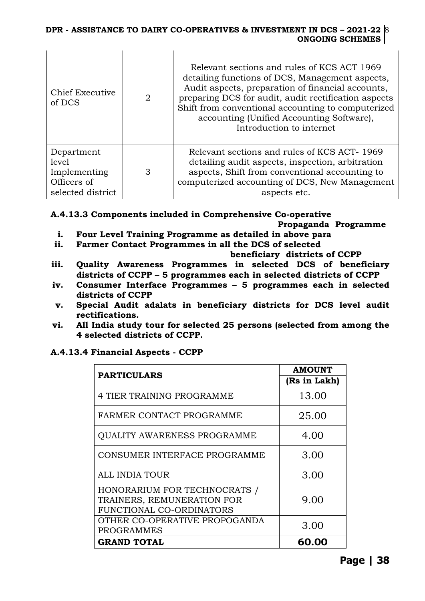#### **DPR - ASSISTANCE TO DAIRY CO-OPERATIVES & INVESTMENT IN DCS – 2021-22** 38 **ONGOING SCHEMES**

 $\mathbf{I}$ 

| Chief Executive<br>of DCS                                               | $\overline{2}$ | Relevant sections and rules of KCS ACT 1969<br>detailing functions of DCS, Management aspects,<br>Audit aspects, preparation of financial accounts,<br>preparing DCS for audit, audit rectification aspects<br>Shift from conventional accounting to computerized<br>accounting (Unified Accounting Software),<br>Introduction to internet |
|-------------------------------------------------------------------------|----------------|--------------------------------------------------------------------------------------------------------------------------------------------------------------------------------------------------------------------------------------------------------------------------------------------------------------------------------------------|
| Department<br>level<br>Implementing<br>Officers of<br>selected district | 3              | Relevant sections and rules of KCS ACT-1969<br>detailing audit aspects, inspection, arbitration<br>aspects, Shift from conventional accounting to<br>computerized accounting of DCS, New Management<br>aspects etc.                                                                                                                        |

#### **A.4.13.3 Components included in Comprehensive Co-operative**

 **Propaganda Programme**

- **i. Four Level Training Programme as detailed in above para**
- **ii. Farmer Contact Programmes in all the DCS of selected beneficiary districts of CCPP**
- **iii. Quality Awareness Programmes in selected DCS of beneficiary districts of CCPP – 5 programmes each in selected districts of CCPP**
- **iv. Consumer Interface Programmes – 5 programmes each in selected districts of CCPP**
- **v. Special Audit adalats in beneficiary districts for DCS level audit rectifications.**
- **vi. All India study tour for selected 25 persons (selected from among the 4 selected districts of CCPP.**

| <b>PARTICULARS</b>                                                                     | <b>AMOUNT</b> |
|----------------------------------------------------------------------------------------|---------------|
|                                                                                        | (Rs in Lakh)  |
| <b>4 TIER TRAINING PROGRAMME</b>                                                       | 13.00         |
| FARMER CONTACT PROGRAMME                                                               | 25.00         |
| <b>QUALITY AWARENESS PROGRAMME</b>                                                     | 4.00          |
| CONSUMER INTERFACE PROGRAMME                                                           | 3.00          |
| <b>ALL INDIA TOUR</b>                                                                  | 3.00          |
| HONORARIUM FOR TECHNOCRATS /<br>TRAINERS, REMUNERATION FOR<br>FUNCTIONAL CO-ORDINATORS | 9.00          |
| OTHER CO-OPERATIVE PROPOGANDA<br>PROGRAMMES                                            | 3.00          |
| <b>GRAND TOTAL</b>                                                                     | 60.00         |

#### **A.4.13.4 Financial Aspects - CCPP**

 $\mathbf{I}$ 

 $\mathbf{I}$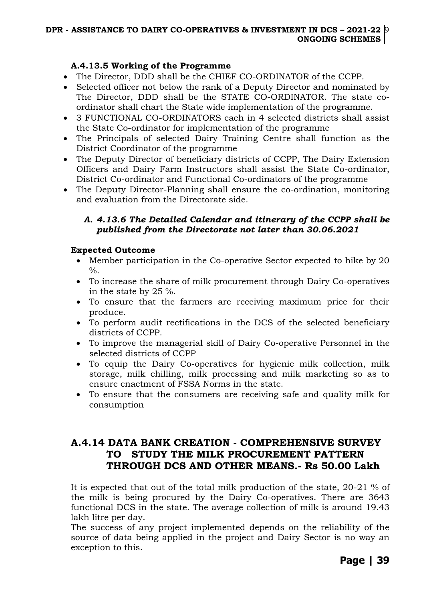#### **DPR - ASSISTANCE TO DAIRY CO-OPERATIVES & INVESTMENT IN DCS – 2021-22** 39 **ONGOING SCHEMES**

#### **A.4.13.5 Working of the Programme**

- The Director, DDD shall be the CHIEF CO-ORDINATOR of the CCPP.
- Selected officer not below the rank of a Deputy Director and nominated by The Director, DDD shall be the STATE CO-ORDINATOR. The state coordinator shall chart the State wide implementation of the programme.
- 3 FUNCTIONAL CO-ORDINATORS each in 4 selected districts shall assist the State Co-ordinator for implementation of the programme
- The Principals of selected Dairy Training Centre shall function as the District Coordinator of the programme
- The Deputy Director of beneficiary districts of CCPP, The Dairy Extension Officers and Dairy Farm Instructors shall assist the State Co-ordinator, District Co-ordinator and Functional Co-ordinators of the programme
- The Deputy Director-Planning shall ensure the co-ordination, monitoring and evaluation from the Directorate side.

#### *A. 4.13.6 The Detailed Calendar and itinerary of the CCPP shall be published from the Directorate not later than 30.06.2021*

#### **Expected Outcome**

- Member participation in the Co-operative Sector expected to hike by 20  $\frac{0}{6}$
- To increase the share of milk procurement through Dairy Co-operatives in the state by 25 %.
- To ensure that the farmers are receiving maximum price for their produce.
- To perform audit rectifications in the DCS of the selected beneficiary districts of CCPP.
- To improve the managerial skill of Dairy Co-operative Personnel in the selected districts of CCPP
- To equip the Dairy Co-operatives for hygienic milk collection, milk storage, milk chilling, milk processing and milk marketing so as to ensure enactment of FSSA Norms in the state.
- To ensure that the consumers are receiving safe and quality milk for consumption

## **A.4.14 DATA BANK CREATION - COMPREHENSIVE SURVEY TO STUDY THE MILK PROCUREMENT PATTERN THROUGH DCS AND OTHER MEANS.- Rs 50.00 Lakh**

It is expected that out of the total milk production of the state, 20-21 % of the milk is being procured by the Dairy Co-operatives. There are 3643 functional DCS in the state. The average collection of milk is around 19.43 lakh litre per day.

The success of any project implemented depends on the reliability of the source of data being applied in the project and Dairy Sector is no way an exception to this.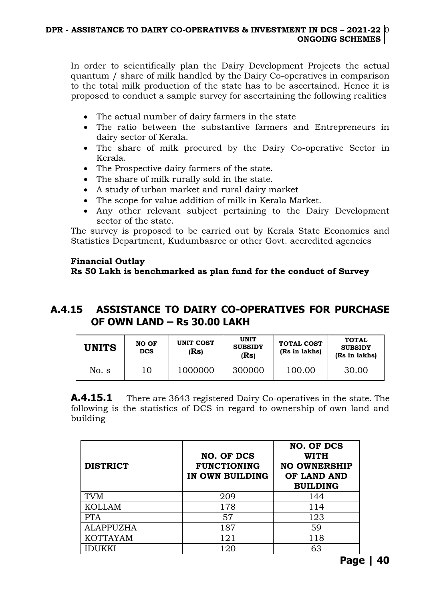In order to scientifically plan the Dairy Development Projects the actual quantum / share of milk handled by the Dairy Co-operatives in comparison to the total milk production of the state has to be ascertained. Hence it is proposed to conduct a sample survey for ascertaining the following realities

- The actual number of dairy farmers in the state
- The ratio between the substantive farmers and Entrepreneurs in dairy sector of Kerala.
- The share of milk procured by the Dairy Co-operative Sector in Kerala.
- The Prospective dairy farmers of the state.
- The share of milk rurally sold in the state.
- A study of urban market and rural dairy market
- The scope for value addition of milk in Kerala Market.
- Any other relevant subject pertaining to the Dairy Development sector of the state.

The survey is proposed to be carried out by Kerala State Economics and Statistics Department, Kudumbasree or other Govt. accredited agencies

#### **Financial Outlay**

## **Rs 50 Lakh is benchmarked as plan fund for the conduct of Survey**

## **A.4.15 ASSISTANCE TO DAIRY CO-OPERATIVES FOR PURCHASE OF OWN LAND – Rs 30.00 LAKH**

| <b>UNITS</b> | NO OF<br><b>DCS</b> | UNIT COST<br>(Rs) | <b>UNIT</b><br><b>SUBSIDY</b><br>(Rs) | <b>TOTAL COST</b><br>(Rs in lakhs) | <b>TOTAL</b><br><b>SUBSIDY</b><br>(Rs in lakhs) |
|--------------|---------------------|-------------------|---------------------------------------|------------------------------------|-------------------------------------------------|
| No. s        | 10                  | 1000000           | 300000                                | 100.00                             | 30.00                                           |

**A.4.15.1** There are 3643 registered Dairy Co-operatives in the state. The following is the statistics of DCS in regard to ownership of own land and building

| <b>DISTRICT</b>  | <b>NO. OF DCS</b><br><b>FUNCTIONING</b><br>IN OWN BUILDING | <b>NO. OF DCS</b><br><b>WITH</b><br><b>NO OWNERSHIP</b><br>OF LAND AND<br><b>BUILDING</b> |
|------------------|------------------------------------------------------------|-------------------------------------------------------------------------------------------|
| <b>TVM</b>       | 209                                                        | 144                                                                                       |
| <b>KOLLAM</b>    | 178                                                        | 114                                                                                       |
| <b>PTA</b>       | 57                                                         | 123                                                                                       |
| <b>ALAPPUZHA</b> | 187                                                        | 59                                                                                        |
| <b>KOTTAYAM</b>  | 121                                                        | 118                                                                                       |
| IDUKKI           | 120                                                        | 63                                                                                        |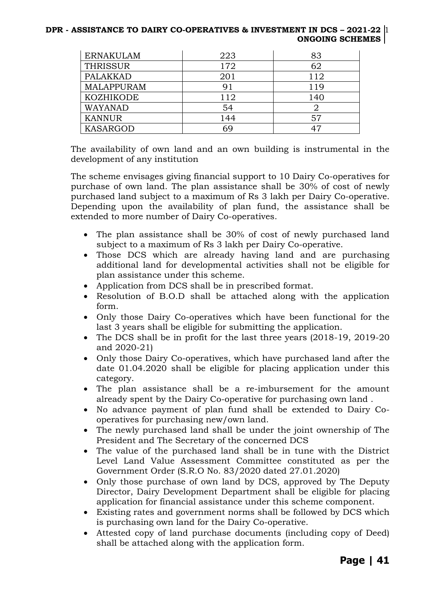#### **DPR - ASSISTANCE TO DAIRY CO-OPERATIVES & INVESTMENT IN DCS – 2021-22** 41 **ONGOING SCHEMES**

| <b>ERNAKULAM</b>  | 223 | 83  |
|-------------------|-----|-----|
| <b>THRISSUR</b>   | 172 | 62  |
| <b>PALAKKAD</b>   | 201 | 112 |
| <b>MALAPPURAM</b> | 91  | 119 |
| KOZHIKODE         | 112 | 140 |
| <b>WAYANAD</b>    | 54  |     |
| <b>KANNUR</b>     | 144 | 57  |
| KASARGOD          |     | 47  |

The availability of own land and an own building is instrumental in the development of any institution

The scheme envisages giving financial support to 10 Dairy Co-operatives for purchase of own land. The plan assistance shall be 30% of cost of newly purchased land subject to a maximum of Rs 3 lakh per Dairy Co-operative. Depending upon the availability of plan fund, the assistance shall be extended to more number of Dairy Co-operatives.

- The plan assistance shall be 30% of cost of newly purchased land subject to a maximum of Rs 3 lakh per Dairy Co-operative.
- Those DCS which are already having land and are purchasing additional land for developmental activities shall not be eligible for plan assistance under this scheme.
- Application from DCS shall be in prescribed format.
- Resolution of B.O.D shall be attached along with the application form.
- Only those Dairy Co-operatives which have been functional for the last 3 years shall be eligible for submitting the application.
- The DCS shall be in profit for the last three years (2018-19, 2019-20) and 2020-21)
- Only those Dairy Co-operatives, which have purchased land after the date 01.04.2020 shall be eligible for placing application under this category.
- The plan assistance shall be a re-imbursement for the amount already spent by the Dairy Co-operative for purchasing own land .
- No advance payment of plan fund shall be extended to Dairy Cooperatives for purchasing new/own land.
- The newly purchased land shall be under the joint ownership of The President and The Secretary of the concerned DCS
- The value of the purchased land shall be in tune with the District Level Land Value Assessment Committee constituted as per the Government Order (S.R.O No. 83/2020 dated 27.01.2020)
- Only those purchase of own land by DCS, approved by The Deputy Director, Dairy Development Department shall be eligible for placing application for financial assistance under this scheme component.
- Existing rates and government norms shall be followed by DCS which is purchasing own land for the Dairy Co-operative.
- Attested copy of land purchase documents (including copy of Deed) shall be attached along with the application form.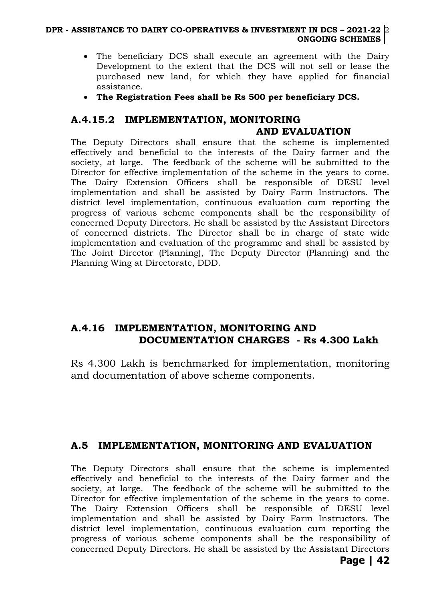#### **DPR - ASSISTANCE TO DAIRY CO-OPERATIVES & INVESTMENT IN DCS – 2021-22** 42 **ONGOING SCHEMES**

- The beneficiary DCS shall execute an agreement with the Dairy Development to the extent that the DCS will not sell or lease the purchased new land, for which they have applied for financial assistance.
- **The Registration Fees shall be Rs 500 per beneficiary DCS.**

## **A.4.15.2 IMPLEMENTATION, MONITORING AND EVALUATION**

The Deputy Directors shall ensure that the scheme is implemented effectively and beneficial to the interests of the Dairy farmer and the society, at large. The feedback of the scheme will be submitted to the Director for effective implementation of the scheme in the years to come. The Dairy Extension Officers shall be responsible of DESU level implementation and shall be assisted by Dairy Farm Instructors. The district level implementation, continuous evaluation cum reporting the progress of various scheme components shall be the responsibility of concerned Deputy Directors. He shall be assisted by the Assistant Directors of concerned districts. The Director shall be in charge of state wide implementation and evaluation of the programme and shall be assisted by The Joint Director (Planning), The Deputy Director (Planning) and the Planning Wing at Directorate, DDD.

## **A.4.16 IMPLEMENTATION, MONITORING AND DOCUMENTATION CHARGES - Rs 4.300 Lakh**

Rs 4.300 Lakh is benchmarked for implementation, monitoring and documentation of above scheme components.

## **A.5 IMPLEMENTATION, MONITORING AND EVALUATION**

The Deputy Directors shall ensure that the scheme is implemented effectively and beneficial to the interests of the Dairy farmer and the society, at large. The feedback of the scheme will be submitted to the Director for effective implementation of the scheme in the years to come. The Dairy Extension Officers shall be responsible of DESU level implementation and shall be assisted by Dairy Farm Instructors. The district level implementation, continuous evaluation cum reporting the progress of various scheme components shall be the responsibility of concerned Deputy Directors. He shall be assisted by the Assistant Directors

**Page | 42**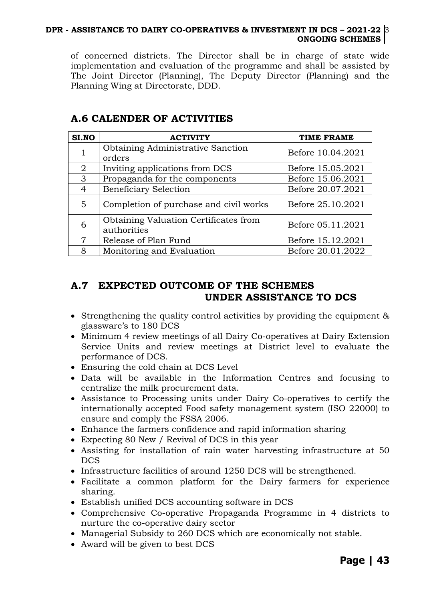#### **DPR - ASSISTANCE TO DAIRY CO-OPERATIVES & INVESTMENT IN DCS – 2021-22** 43 **ONGOING SCHEMES**

of concerned districts. The Director shall be in charge of state wide implementation and evaluation of the programme and shall be assisted by The Joint Director (Planning), The Deputy Director (Planning) and the Planning Wing at Directorate, DDD.

| <b>SI.NO</b>   | <b>ACTIVITY</b>                                      | TIME FRAME        |
|----------------|------------------------------------------------------|-------------------|
|                | Obtaining Administrative Sanction<br>orders          | Before 10.04.2021 |
| $\overline{2}$ | Inviting applications from DCS                       | Before 15.05.2021 |
| 3              | Propaganda for the components                        | Before 15.06.2021 |
| 4              | <b>Beneficiary Selection</b>                         | Before 20.07.2021 |
| 5              | Completion of purchase and civil works               | Before 25.10.2021 |
| 6              | Obtaining Valuation Certificates from<br>authorities | Before 05.11.2021 |
| 7              | Release of Plan Fund                                 | Before 15.12.2021 |
| 8              | Monitoring and Evaluation                            | Before 20.01.2022 |

## **A.6 CALENDER OF ACTIVITIES**

## **A.7 EXPECTED OUTCOME OF THE SCHEMES UNDER ASSISTANCE TO DCS**

- Strengthening the quality control activities by providing the equipment  $\&$ glassware's to 180 DCS
- Minimum 4 review meetings of all Dairy Co-operatives at Dairy Extension Service Units and review meetings at District level to evaluate the performance of DCS.
- Ensuring the cold chain at DCS Level
- Data will be available in the Information Centres and focusing to centralize the milk procurement data.
- Assistance to Processing units under Dairy Co-operatives to certify the internationally accepted Food safety management system (ISO 22000) to ensure and comply the FSSA 2006.
- Enhance the farmers confidence and rapid information sharing
- Expecting 80 New / Revival of DCS in this year
- Assisting for installation of rain water harvesting infrastructure at 50 DCS
- Infrastructure facilities of around 1250 DCS will be strengthened.
- Facilitate a common platform for the Dairy farmers for experience sharing.
- Establish unified DCS accounting software in DCS
- Comprehensive Co-operative Propaganda Programme in 4 districts to nurture the co-operative dairy sector
- Managerial Subsidy to 260 DCS which are economically not stable.
- Award will be given to best DCS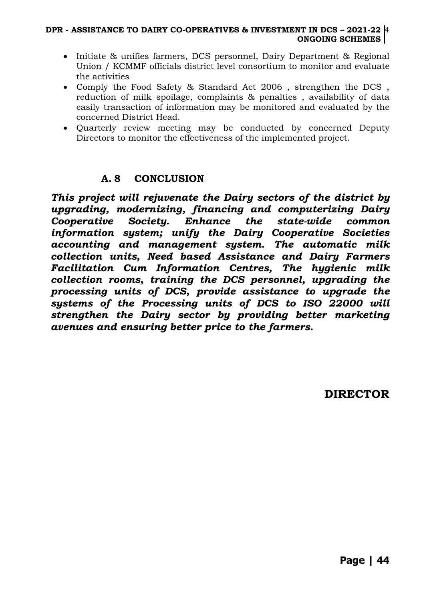- Initiate & unifies farmers, DCS personnel, Dairy Department & Regional Union / KCMMF officials district level consortium to monitor and evaluate the activities
- Comply the Food Safety & Standard Act 2006 , strengthen the DCS , reduction of milk spoilage, complaints & penalties , availability of data easily transaction of information may be monitored and evaluated by the concerned District Head.
- Quarterly review meeting may be conducted by concerned Deputy Directors to monitor the effectiveness of the implemented project.

## **A. 8 CONCLUSION**

*This project will rejuvenate the Dairy sectors of the district by upgrading, modernizing, financing and computerizing Dairy Cooperative Society. Enhance the state-wide common information system; unify the Dairy Cooperative Societies accounting and management system. The automatic milk collection units, Need based Assistance and Dairy Farmers Facilitation Cum Information Centres, The hygienic milk collection rooms, training the DCS personnel, upgrading the processing units of DCS, provide assistance to upgrade the systems of the Processing units of DCS to ISO 22000 will strengthen the Dairy sector by providing better marketing avenues and ensuring better price to the farmers.*

**DIRECTOR**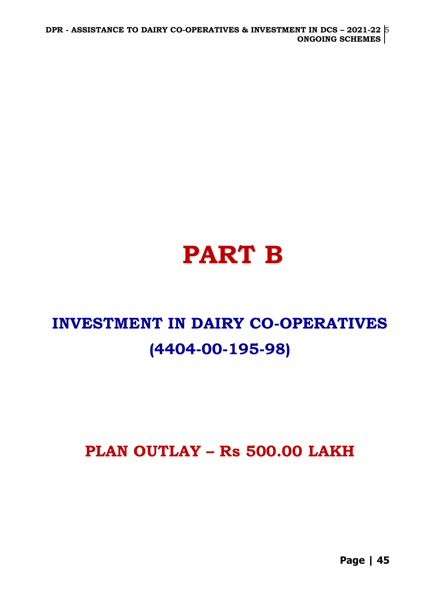**DPR - ASSISTANCE TO DAIRY CO-OPERATIVES & INVESTMENT IN DCS – 2021-22** 45 **ONGOING SCHEMES**



# **INVESTMENT IN DAIRY CO-OPERATIVES (4404-00-195-98)**

**PLAN OUTLAY – Rs 500.00 LAKH**

**Page | 45**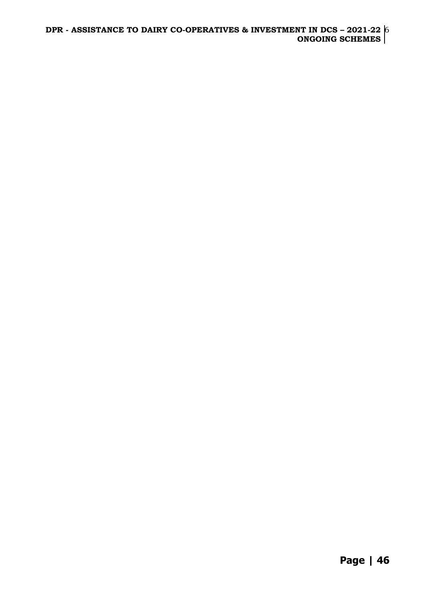**DPR - ASSISTANCE TO DAIRY CO-OPERATIVES & INVESTMENT IN DCS – 2021-22** 46 **ONGOING SCHEMES**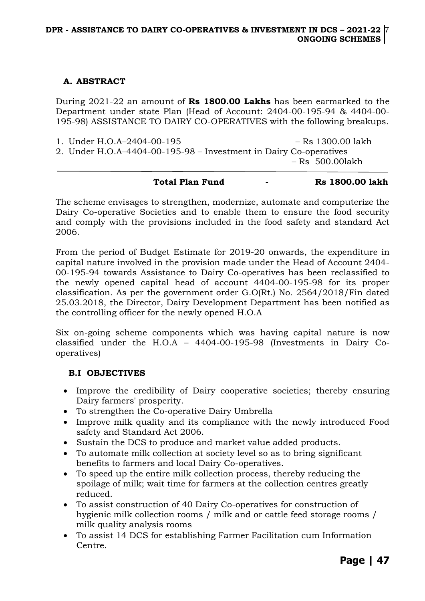#### **A. ABSTRACT**

During 2021-22 an amount of **Rs 1800.00 Lakhs** has been earmarked to the Department under state Plan (Head of Account: 2404-00-195-94 & 4404-00- 195-98) ASSISTANCE TO DAIRY CO-OPERATIVES with the following breakups.

| 1. Under H.O.A-2404-00-195                                        | – Rs 1300.00 lakh |
|-------------------------------------------------------------------|-------------------|
| 2. Under H.O.A–4404-00-195-98 – Investment in Dairy Co-operatives |                   |
|                                                                   | – Rs 500.001akh   |

## **Total Plan Fund - Rs 1800.00 lakh**

The scheme envisages to strengthen, modernize, automate and computerize the Dairy Co-operative Societies and to enable them to ensure the food security and comply with the provisions included in the food safety and standard Act 2006.

From the period of Budget Estimate for 2019-20 onwards, the expenditure in capital nature involved in the provision made under the Head of Account 2404- 00-195-94 towards Assistance to Dairy Co-operatives has been reclassified to the newly opened capital head of account 4404-00-195-98 for its proper classification. As per the government order G.O(Rt.) No. 2564/2018/Fin dated 25.03.2018, the Director, Dairy Development Department has been notified as the controlling officer for the newly opened H.O.A

Six on-going scheme components which was having capital nature is now classified under the H.O.A – 4404-00-195-98 (Investments in Dairy Cooperatives)

#### **B.I OBJECTIVES**

- Improve the credibility of Dairy cooperative societies; thereby ensuring Dairy farmers' prosperity.
- To strengthen the Co-operative Dairy Umbrella
- Improve milk quality and its compliance with the newly introduced Food safety and Standard Act 2006.
- Sustain the DCS to produce and market value added products.
- To automate milk collection at society level so as to bring significant benefits to farmers and local Dairy Co-operatives.
- To speed up the entire milk collection process, thereby reducing the spoilage of milk; wait time for farmers at the collection centres greatly reduced.
- To assist construction of 40 Dairy Co-operatives for construction of hygienic milk collection rooms / milk and or cattle feed storage rooms / milk quality analysis rooms
- To assist 14 DCS for establishing Farmer Facilitation cum Information Centre.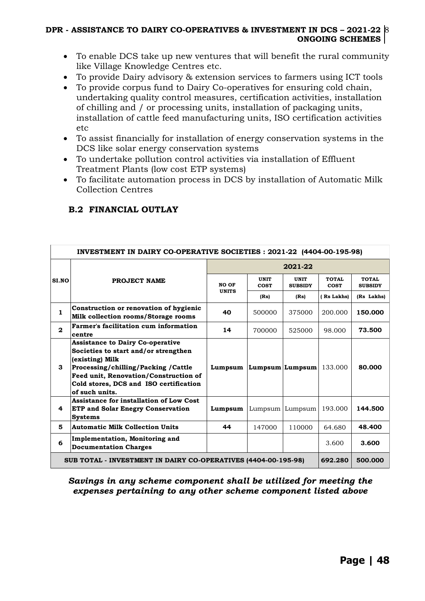#### **DPR - ASSISTANCE TO DAIRY CO-OPERATIVES & INVESTMENT IN DCS – 2021-22** 48 **ONGOING SCHEMES**

- To enable DCS take up new ventures that will benefit the rural community like Village Knowledge Centres etc.
- To provide Dairy advisory & extension services to farmers using ICT tools
- To provide corpus fund to Dairy Co-operatives for ensuring cold chain, undertaking quality control measures, certification activities, installation of chilling and / or processing units, installation of packaging units, installation of cattle feed manufacturing units, ISO certification activities etc
- To assist financially for installation of energy conservation systems in the DCS like solar energy conservation systems
- To undertake pollution control activities via installation of Effluent Treatment Plants (low cost ETP systems)
- To facilitate automation process in DCS by installation of Automatic Milk Collection Centres

| INVESTMENT IN DAIRY CO-OPERATIVE SOCIETIES : 2021-22 (4404-00-195-98) |                                                                                                                                                                                                                                               |              |                            |                               |                             |                                |  |
|-----------------------------------------------------------------------|-----------------------------------------------------------------------------------------------------------------------------------------------------------------------------------------------------------------------------------------------|--------------|----------------------------|-------------------------------|-----------------------------|--------------------------------|--|
|                                                                       | <b>PROJECT NAME</b>                                                                                                                                                                                                                           | 2021-22      |                            |                               |                             |                                |  |
| SI.NO                                                                 |                                                                                                                                                                                                                                               | NO OF        | <b>UNIT</b><br><b>COST</b> | <b>UNIT</b><br><b>SUBSIDY</b> | <b>TOTAL</b><br><b>COST</b> | <b>TOTAL</b><br><b>SUBSIDY</b> |  |
|                                                                       |                                                                                                                                                                                                                                               | <b>UNITS</b> | (Rs)                       | (Rs)                          | (Rs Lakhs)                  | (Rs Lakhs)                     |  |
| 1                                                                     | Construction or renovation of hygienic<br>Milk collection rooms/Storage rooms                                                                                                                                                                 | 40           | 500000                     | 375000                        | 200.000                     | 150.000                        |  |
| $\mathbf{2}$                                                          | Farmer's facilitation cum information<br>centre                                                                                                                                                                                               | 14           | 700000                     | 525000                        | 98.000                      | 73.500                         |  |
| 3                                                                     | <b>Assistance to Dairy Co-operative</b><br>Societies to start and/or strengthen<br>(existing) Milk<br>Processing/chilling/Packing/Cattle<br>Feed unit, Renovation/Construction of<br>Cold stores, DCS and ISO certification<br>of such units. | Lumpsum      | Lumpsum Lumpsum            |                               | 133,000                     | 80.000                         |  |
| 4                                                                     | Assistance for installation of Low Cost<br><b>ETP and Solar Enegry Conservation</b><br><b>Systems</b>                                                                                                                                         | Lumpsum      |                            | Lumpsum Lumpsum               | 193.000                     | 144.500                        |  |
| 5                                                                     | <b>Automatic Milk Collection Units</b>                                                                                                                                                                                                        | 44           | 147000                     | 110000                        | 64.680                      | 48.400                         |  |
| 6                                                                     | <b>Implementation, Monitoring and</b><br><b>Documentation Charges</b>                                                                                                                                                                         |              |                            |                               | 3.600                       | 3.600                          |  |
|                                                                       | SUB TOTAL - INVESTMENT IN DAIRY CO-OPERATIVES (4404-00-195-98)<br>500.000<br>692.280                                                                                                                                                          |              |                            |                               |                             |                                |  |

## **B.2 FINANCIAL OUTLAY**

*Savings in any scheme component shall be utilized for meeting the expenses pertaining to any other scheme component listed above*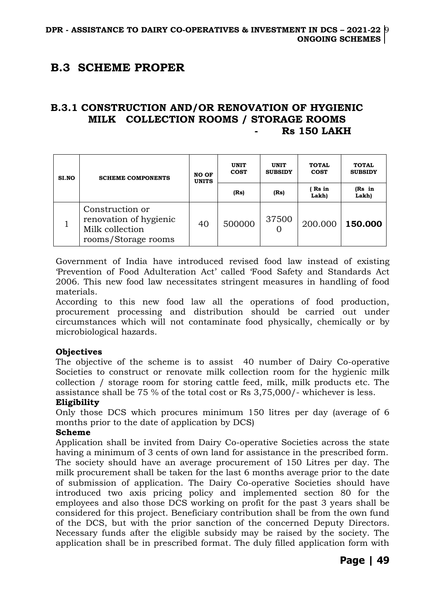## **B.3 SCHEME PROPER**

## **B.3.1 CONSTRUCTION AND/OR RENOVATION OF HYGIENIC MILK COLLECTION ROOMS / STORAGE ROOMS Rs 150 LAKH**

| SI.NO | <b>SCHEME COMPONENTS</b>                                                            | <b>NO OF</b><br><b>UNITS</b> | <b>UNIT</b><br><b>UNIT</b><br><b>COST</b><br><b>SUBSIDY</b> |       | <b>TOTAL</b><br><b>COST</b> | <b>TOTAL</b><br><b>SUBSIDY</b> |
|-------|-------------------------------------------------------------------------------------|------------------------------|-------------------------------------------------------------|-------|-----------------------------|--------------------------------|
|       |                                                                                     |                              | (Rs)                                                        | (Rs)  | Rs in<br>Lakh)              | (Rs in<br>Lakh)                |
|       | Construction or<br>renovation of hygienic<br>Milk collection<br>rooms/Storage rooms | 40                           | 500000                                                      | 37500 | 200.000                     | 150.000                        |

Government of India have introduced revised food law instead of existing 'Prevention of Food Adulteration Act' called 'Food Safety and Standards Act 2006. This new food law necessitates stringent measures in handling of food materials.

According to this new food law all the operations of food production, procurement processing and distribution should be carried out under circumstances which will not contaminate food physically, chemically or by microbiological hazards.

#### **Objectives**

The objective of the scheme is to assist 40 number of Dairy Co-operative Societies to construct or renovate milk collection room for the hygienic milk collection / storage room for storing cattle feed, milk, milk products etc. The assistance shall be 75 % of the total cost or Rs 3,75,000/- whichever is less.

#### **Eligibility**

Only those DCS which procures minimum 150 litres per day (average of 6 months prior to the date of application by DCS)

#### **Scheme**

Application shall be invited from Dairy Co-operative Societies across the state having a minimum of 3 cents of own land for assistance in the prescribed form. The society should have an average procurement of 150 Litres per day. The milk procurement shall be taken for the last 6 months average prior to the date of submission of application. The Dairy Co-operative Societies should have introduced two axis pricing policy and implemented section 80 for the employees and also those DCS working on profit for the past 3 years shall be considered for this project. Beneficiary contribution shall be from the own fund of the DCS, but with the prior sanction of the concerned Deputy Directors. Necessary funds after the eligible subsidy may be raised by the society. The application shall be in prescribed format. The duly filled application form with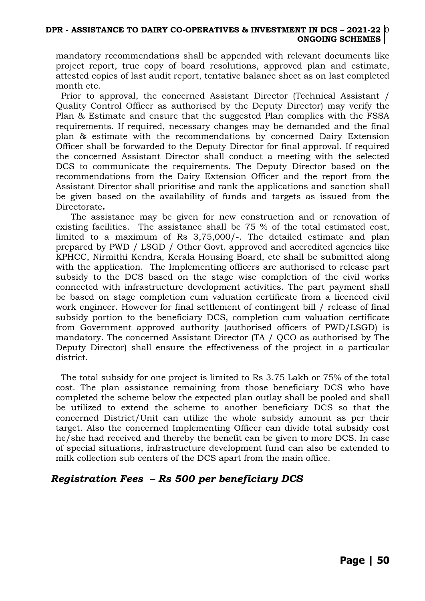#### **DPR - ASSISTANCE TO DAIRY CO-OPERATIVES & INVESTMENT IN DCS – 2021-22** 50 **ONGOING SCHEMES**

mandatory recommendations shall be appended with relevant documents like project report, true copy of board resolutions, approved plan and estimate, attested copies of last audit report, tentative balance sheet as on last completed month etc.

Prior to approval, the concerned Assistant Director (Technical Assistant / Quality Control Officer as authorised by the Deputy Director) may verify the Plan & Estimate and ensure that the suggested Plan complies with the FSSA requirements. If required, necessary changes may be demanded and the final plan & estimate with the recommendations by concerned Dairy Extension Officer shall be forwarded to the Deputy Director for final approval. If required the concerned Assistant Director shall conduct a meeting with the selected DCS to communicate the requirements. The Deputy Director based on the recommendations from the Dairy Extension Officer and the report from the Assistant Director shall prioritise and rank the applications and sanction shall be given based on the availability of funds and targets as issued from the Directorate**.** 

The assistance may be given for new construction and or renovation of existing facilities. The assistance shall be 75 % of the total estimated cost, limited to a maximum of Rs 3,75,000/-. The detailed estimate and plan prepared by PWD / LSGD / Other Govt. approved and accredited agencies like KPHCC, Nirmithi Kendra, Kerala Housing Board, etc shall be submitted along with the application. The Implementing officers are authorised to release part subsidy to the DCS based on the stage wise completion of the civil works connected with infrastructure development activities. The part payment shall be based on stage completion cum valuation certificate from a licenced civil work engineer. However for final settlement of contingent bill / release of final subsidy portion to the beneficiary DCS, completion cum valuation certificate from Government approved authority (authorised officers of PWD/LSGD) is mandatory. The concerned Assistant Director (TA / QCO as authorised by The Deputy Director) shall ensure the effectiveness of the project in a particular district.

The total subsidy for one project is limited to Rs 3.75 Lakh or 75% of the total cost. The plan assistance remaining from those beneficiary DCS who have completed the scheme below the expected plan outlay shall be pooled and shall be utilized to extend the scheme to another beneficiary DCS so that the concerned District/Unit can utilize the whole subsidy amount as per their target. Also the concerned Implementing Officer can divide total subsidy cost he/she had received and thereby the benefit can be given to more DCS. In case of special situations, infrastructure development fund can also be extended to milk collection sub centers of the DCS apart from the main office.

## *Registration Fees – Rs 500 per beneficiary DCS*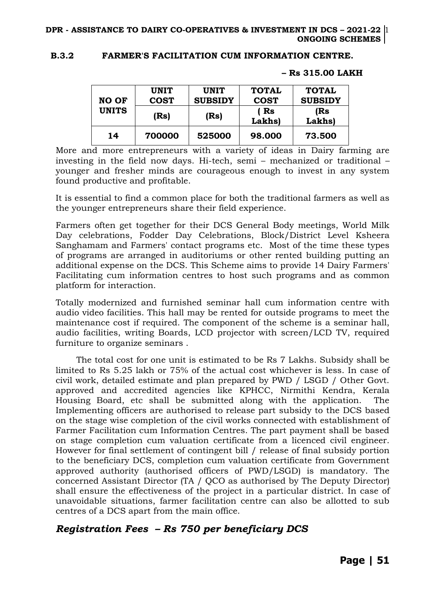#### **DPR - ASSISTANCE TO DAIRY CO-OPERATIVES & INVESTMENT IN DCS – 2021-22** 51 **ONGOING SCHEMES**

#### **B.3.2 FARMER'S FACILITATION CUM INFORMATION CENTRE.**

| <b>NO OF</b> | <b>UNIT</b><br><b>COST</b> | <b>UNIT</b><br><b>SUBSIDY</b> | <b>TOTAL</b><br><b>COST</b> | <b>TOTAL</b><br><b>SUBSIDY</b> |
|--------------|----------------------------|-------------------------------|-----------------------------|--------------------------------|
| <b>UNITS</b> | (Rs)                       | (Rs)                          | (Rs<br><b>Lakhs</b> )       | (Rs<br><b>Lakhs</b> )          |
| 14           | 700000                     | 525000                        | 98.000                      | 73.500                         |

**– Rs 315.00 LAKH**

More and more entrepreneurs with a variety of ideas in Dairy farming are investing in the field now days. Hi-tech, semi – mechanized or traditional – younger and fresher minds are courageous enough to invest in any system found productive and profitable.

It is essential to find a common place for both the traditional farmers as well as the younger entrepreneurs share their field experience.

Farmers often get together for their DCS General Body meetings, World Milk Day celebrations, Fodder Day Celebrations, Block/District Level Ksheera Sanghamam and Farmers' contact programs etc. Most of the time these types of programs are arranged in auditoriums or other rented building putting an additional expense on the DCS. This Scheme aims to provide 14 Dairy Farmers' Facilitating cum information centres to host such programs and as common platform for interaction.

Totally modernized and furnished seminar hall cum information centre with audio video facilities. This hall may be rented for outside programs to meet the maintenance cost if required. The component of the scheme is a seminar hall, audio facilities, writing Boards, LCD projector with screen/LCD TV, required furniture to organize seminars .

The total cost for one unit is estimated to be Rs 7 Lakhs. Subsidy shall be limited to Rs 5.25 lakh or 75% of the actual cost whichever is less. In case of civil work, detailed estimate and plan prepared by PWD / LSGD / Other Govt. approved and accredited agencies like KPHCC, Nirmithi Kendra, Kerala Housing Board, etc shall be submitted along with the application. The Implementing officers are authorised to release part subsidy to the DCS based on the stage wise completion of the civil works connected with establishment of Farmer Facilitation cum Information Centres. The part payment shall be based on stage completion cum valuation certificate from a licenced civil engineer. However for final settlement of contingent bill / release of final subsidy portion to the beneficiary DCS, completion cum valuation certificate from Government approved authority (authorised officers of PWD/LSGD) is mandatory. The concerned Assistant Director (TA / QCO as authorised by The Deputy Director) shall ensure the effectiveness of the project in a particular district. In case of unavoidable situations, farmer facilitation centre can also be allotted to sub centres of a DCS apart from the main office.

## *Registration Fees – Rs 750 per beneficiary DCS*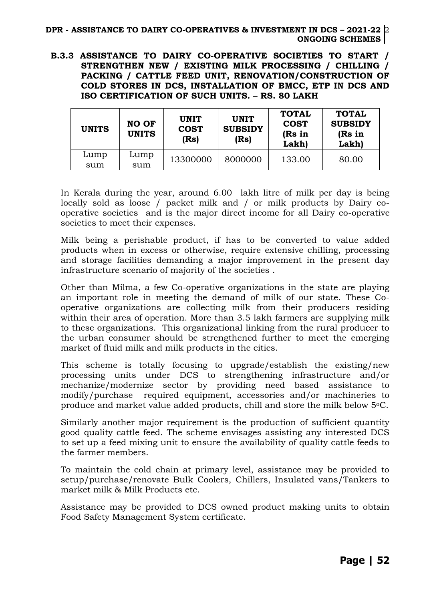#### **DPR - ASSISTANCE TO DAIRY CO-OPERATIVES & INVESTMENT IN DCS – 2021-22** 52 **ONGOING SCHEMES**

**B.3.3 ASSISTANCE TO DAIRY CO-OPERATIVE SOCIETIES TO START / STRENGTHEN NEW / EXISTING MILK PROCESSING / CHILLING / PACKING / CATTLE FEED UNIT, RENOVATION/CONSTRUCTION OF COLD STORES IN DCS, INSTALLATION OF BMCC, ETP IN DCS AND ISO CERTIFICATION OF SUCH UNITS. – RS. 80 LAKH**

| <b>UNITS</b> | <b>NO OF</b><br><b>UNITS</b> | <b>UNIT</b><br><b>COST</b><br>(Rs) | <b>UNIT</b><br><b>SUBSIDY</b><br>(Rs) | <b>TOTAL</b><br><b>COST</b><br>(Rs in<br>Lakh) | <b>TOTAL</b><br><b>SUBSIDY</b><br>(Rs in<br>Lakh) |
|--------------|------------------------------|------------------------------------|---------------------------------------|------------------------------------------------|---------------------------------------------------|
| Lump<br>sum  | Lump<br>sum                  | 13300000                           | 8000000                               | 133.00                                         | 80.00                                             |

In Kerala during the year, around 6.00 lakh litre of milk per day is being locally sold as loose / packet milk and / or milk products by Dairy cooperative societies and is the major direct income for all Dairy co-operative societies to meet their expenses.

Milk being a perishable product, if has to be converted to value added products when in excess or otherwise, require extensive chilling, processing and storage facilities demanding a major improvement in the present day infrastructure scenario of majority of the societies .

Other than Milma, a few Co-operative organizations in the state are playing an important role in meeting the demand of milk of our state. These Cooperative organizations are collecting milk from their producers residing within their area of operation. More than 3.5 lakh farmers are supplying milk to these organizations. This organizational linking from the rural producer to the urban consumer should be strengthened further to meet the emerging market of fluid milk and milk products in the cities.

This scheme is totally focusing to upgrade/establish the existing/new processing units under DCS to strengthening infrastructure and/or mechanize/modernize sector by providing need based assistance to modify/purchase required equipment, accessories and/or machineries to produce and market value added products, chill and store the milk below 5oC.

Similarly another major requirement is the production of sufficient quantity good quality cattle feed. The scheme envisages assisting any interested DCS to set up a feed mixing unit to ensure the availability of quality cattle feeds to the farmer members.

To maintain the cold chain at primary level, assistance may be provided to setup/purchase/renovate Bulk Coolers, Chillers, Insulated vans/Tankers to market milk & Milk Products etc.

Assistance may be provided to DCS owned product making units to obtain Food Safety Management System certificate.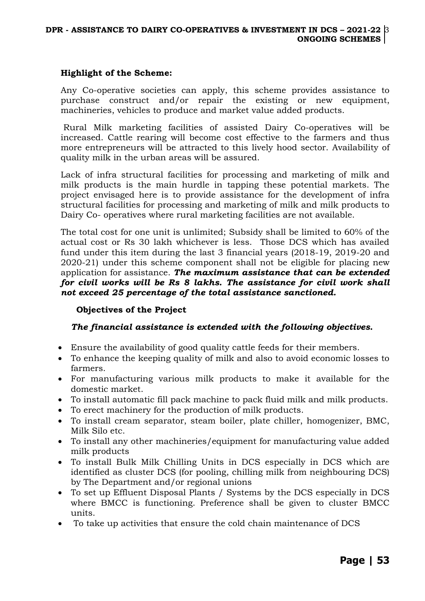#### **Highlight of the Scheme:**

Any Co-operative societies can apply, this scheme provides assistance to purchase construct and/or repair the existing or new equipment, machineries, vehicles to produce and market value added products.

Rural Milk marketing facilities of assisted Dairy Co-operatives will be increased. Cattle rearing will become cost effective to the farmers and thus more entrepreneurs will be attracted to this lively hood sector. Availability of quality milk in the urban areas will be assured.

Lack of infra structural facilities for processing and marketing of milk and milk products is the main hurdle in tapping these potential markets. The project envisaged here is to provide assistance for the development of infra structural facilities for processing and marketing of milk and milk products to Dairy Co- operatives where rural marketing facilities are not available.

The total cost for one unit is unlimited; Subsidy shall be limited to 60% of the actual cost or Rs 30 lakh whichever is less. Those DCS which has availed fund under this item during the last 3 financial years (2018-19, 2019-20 and 2020-21) under this scheme component shall not be eligible for placing new application for assistance. *The maximum assistance that can be extended for civil works will be Rs 8 lakhs. The assistance for civil work shall not exceed 25 percentage of the total assistance sanctioned.*

#### **Objectives of the Project**

#### *The financial assistance is extended with the following objectives.*

- Ensure the availability of good quality cattle feeds for their members.
- To enhance the keeping quality of milk and also to avoid economic losses to farmers.
- For manufacturing various milk products to make it available for the domestic market.
- To install automatic fill pack machine to pack fluid milk and milk products.
- To erect machinery for the production of milk products.
- To install cream separator, steam boiler, plate chiller, homogenizer, BMC, Milk Silo etc.
- To install any other machineries/equipment for manufacturing value added milk products
- To install Bulk Milk Chilling Units in DCS especially in DCS which are identified as cluster DCS (for pooling, chilling milk from neighbouring DCS) by The Department and/or regional unions
- To set up Effluent Disposal Plants / Systems by the DCS especially in DCS where BMCC is functioning. Preference shall be given to cluster BMCC units.
- To take up activities that ensure the cold chain maintenance of DCS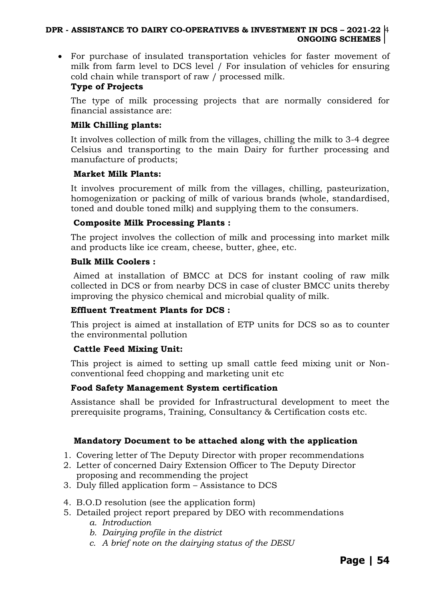#### **DPR - ASSISTANCE TO DAIRY CO-OPERATIVES & INVESTMENT IN DCS – 2021-22** 54 **ONGOING SCHEMES**

 For purchase of insulated transportation vehicles for faster movement of milk from farm level to DCS level / For insulation of vehicles for ensuring cold chain while transport of raw / processed milk.

#### **Type of Projects**

The type of milk processing projects that are normally considered for financial assistance are:

#### **Milk Chilling plants:**

It involves collection of milk from the villages, chilling the milk to 3-4 degree Celsius and transporting to the main Dairy for further processing and manufacture of products;

#### **Market Milk Plants:**

It involves procurement of milk from the villages, chilling, pasteurization, homogenization or packing of milk of various brands (whole, standardised, toned and double toned milk) and supplying them to the consumers.

#### **Composite Milk Processing Plants :**

The project involves the collection of milk and processing into market milk and products like ice cream, cheese, butter, ghee, etc.

#### **Bulk Milk Coolers :**

Aimed at installation of BMCC at DCS for instant cooling of raw milk collected in DCS or from nearby DCS in case of cluster BMCC units thereby improving the physico chemical and microbial quality of milk.

#### **Effluent Treatment Plants for DCS :**

This project is aimed at installation of ETP units for DCS so as to counter the environmental pollution

#### **Cattle Feed Mixing Unit:**

This project is aimed to setting up small cattle feed mixing unit or Nonconventional feed chopping and marketing unit etc

#### **Food Safety Management System certification**

Assistance shall be provided for Infrastructural development to meet the prerequisite programs, Training, Consultancy & Certification costs etc.

#### **Mandatory Document to be attached along with the application**

- 1. Covering letter of The Deputy Director with proper recommendations
- 2. Letter of concerned Dairy Extension Officer to The Deputy Director proposing and recommending the project
- 3. Duly filled application form Assistance to DCS
- 4. B.O.D resolution (see the application form)
- 5. Detailed project report prepared by DEO with recommendations
	- *a. Introduction*
	- *b. Dairying profile in the district*
	- *c. A brief note on the dairying status of the DESU*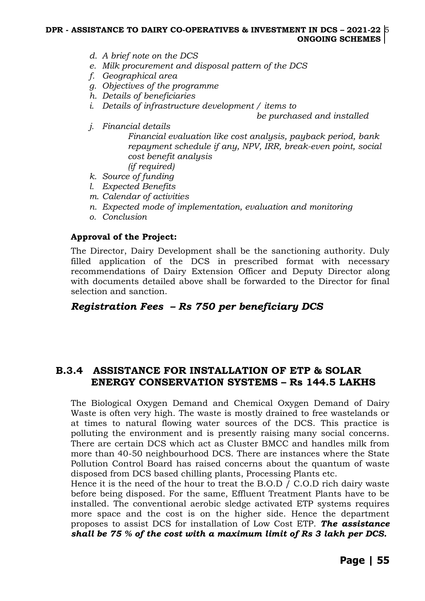#### **DPR - ASSISTANCE TO DAIRY CO-OPERATIVES & INVESTMENT IN DCS – 2021-22** 55 **ONGOING SCHEMES**

- *d. A brief note on the DCS*
- *e. Milk procurement and disposal pattern of the DCS*
- *f. Geographical area*
- *g. Objectives of the programme*
- *h. Details of beneficiaries*
- *i. Details of infrastructure development / items to*

*be purchased and installed*

*j. Financial details*

*Financial evaluation like cost analysis, payback period, bank repayment schedule if any, NPV, IRR, break-even point, social cost benefit analysis (if required)*

- *k. Source of funding*
- *l. Expected Benefits*
- *m. Calendar of activities*
- *n. Expected mode of implementation, evaluation and monitoring*
- *o. Conclusion*

#### **Approval of the Project:**

The Director, Dairy Development shall be the sanctioning authority. Duly filled application of the DCS in prescribed format with necessary recommendations of Dairy Extension Officer and Deputy Director along with documents detailed above shall be forwarded to the Director for final selection and sanction.

#### *Registration Fees – Rs 750 per beneficiary DCS*

## **B.3.4 ASSISTANCE FOR INSTALLATION OF ETP & SOLAR ENERGY CONSERVATION SYSTEMS – Rs 144.5 LAKHS**

The Biological Oxygen Demand and Chemical Oxygen Demand of Dairy Waste is often very high. The waste is mostly drained to free wastelands or at times to natural flowing water sources of the DCS. This practice is polluting the environment and is presently raising many social concerns. There are certain DCS which act as Cluster BMCC and handles milk from more than 40-50 neighbourhood DCS. There are instances where the State Pollution Control Board has raised concerns about the quantum of waste disposed from DCS based chilling plants, Processing Plants etc.

Hence it is the need of the hour to treat the B.O.D / C.O.D rich dairy waste before being disposed. For the same, Effluent Treatment Plants have to be installed. The conventional aerobic sledge activated ETP systems requires more space and the cost is on the higher side. Hence the department proposes to assist DCS for installation of Low Cost ETP. *The assistance shall be 75 % of the cost with a maximum limit of Rs 3 lakh per DCS.*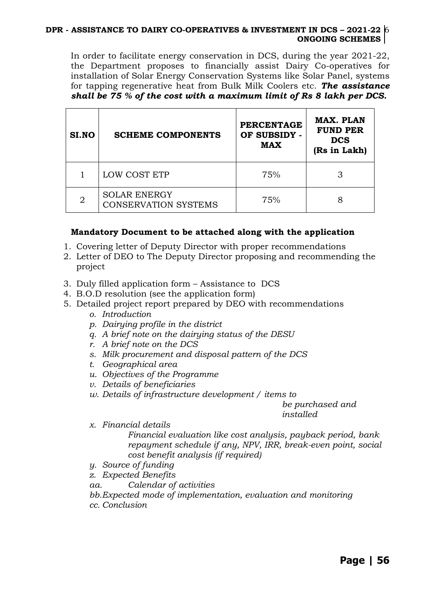#### **DPR - ASSISTANCE TO DAIRY CO-OPERATIVES & INVESTMENT IN DCS – 2021-22** 56 **ONGOING SCHEMES**

In order to facilitate energy conservation in DCS, during the year 2021-22, the Department proposes to financially assist Dairy Co-operatives for installation of Solar Energy Conservation Systems like Solar Panel, systems for tapping regenerative heat from Bulk Milk Coolers etc. *The assistance shall be 75 % of the cost with a maximum limit of Rs 8 lakh per DCS.*

| <b>SI.NO</b> | <b>SCHEME COMPONENTS</b>                           | <b>PERCENTAGE</b><br>OF SUBSIDY -<br><b>MAX</b> | <b>MAX. PLAN</b><br><b>FUND PER</b><br><b>DCS</b><br>(Rs in Lakh) |
|--------------|----------------------------------------------------|-------------------------------------------------|-------------------------------------------------------------------|
|              | <b>LOW COST ETP</b>                                | 75%                                             |                                                                   |
| 2            | <b>SOLAR ENERGY</b><br><b>CONSERVATION SYSTEMS</b> | 75%                                             |                                                                   |

#### **Mandatory Document to be attached along with the application**

- 1. Covering letter of Deputy Director with proper recommendations
- 2. Letter of DEO to The Deputy Director proposing and recommending the project
- 3. Duly filled application form Assistance to DCS
- 4. B.O.D resolution (see the application form)
- 5. Detailed project report prepared by DEO with recommendations
	- *o. Introduction*
	- *p. Dairying profile in the district*
	- *q. A brief note on the dairying status of the DESU*
	- *r. A brief note on the DCS*
	- *s. Milk procurement and disposal pattern of the DCS*
	- *t. Geographical area*
	- *u. Objectives of the Programme*
	- *v. Details of beneficiaries*
	- *w. Details of infrastructure development / items to*

*be purchased and installed*

*x. Financial details*

*Financial evaluation like cost analysis, payback period, bank repayment schedule if any, NPV, IRR, break-even point, social cost benefit analysis (if required)*

- *y. Source of funding*
- *z. Expected Benefits*
- *aa. Calendar of activities*

*bb.Expected mode of implementation, evaluation and monitoring*

*cc. Conclusion*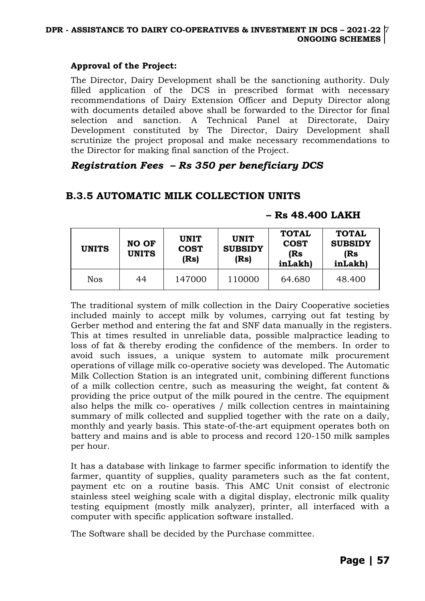#### **Approval of the Project:**

The Director, Dairy Development shall be the sanctioning authority. Duly filled application of the DCS in prescribed format with necessary recommendations of Dairy Extension Officer and Deputy Director along with documents detailed above shall be forwarded to the Director for final selection and sanction. A Technical Panel at Directorate, Dairy Development constituted by The Director, Dairy Development shall scrutinize the project proposal and make necessary recommendations to the Director for making final sanction of the Project.

## *Registration Fees – Rs 350 per beneficiary DCS*

## **B.3.5 AUTOMATIC MILK COLLECTION UNITS**

#### **– Rs 48.400 LAKH**

| <b>UNITS</b> | <b>NO OF</b><br><b>UNITS</b> | <b>UNIT</b><br><b>COST</b><br>(Rs) | <b>UNIT</b><br><b>SUBSIDY</b><br>(Rs) | <b>TOTAL</b><br><b>COST</b><br>(Rs<br>inLakh) | <b>TOTAL</b><br><b>SUBSIDY</b><br>(Rs<br>inLakh) |
|--------------|------------------------------|------------------------------------|---------------------------------------|-----------------------------------------------|--------------------------------------------------|
| <b>Nos</b>   | 44                           | 147000                             | 110000                                | 64.680                                        | 48.400                                           |

The traditional system of milk collection in the Dairy Cooperative societies included mainly to accept milk by volumes, carrying out fat testing by Gerber method and entering the fat and SNF data manually in the registers. This at times resulted in unreliable data, possible malpractice leading to loss of fat & thereby eroding the confidence of the members. In order to avoid such issues, a unique system to automate milk procurement operations of village milk co-operative society was developed. The Automatic Milk Collection Station is an integrated unit, combining different functions of a milk collection centre, such as measuring the weight, fat content & providing the price output of the milk poured in the centre. The equipment also helps the milk co- operatives / milk collection centres in maintaining summary of milk collected and supplied together with the rate on a daily, monthly and yearly basis. This state-of-the-art equipment operates both on battery and mains and is able to process and record 120-150 milk samples per hour.

It has a database with linkage to farmer specific information to identify the farmer, quantity of supplies, quality parameters such as the fat content, payment etc on a routine basis. This AMC Unit consist of electronic stainless steel weighing scale with a digital display, electronic milk quality testing equipment (mostly milk analyzer), printer, all interfaced with a computer with specific application software installed.

The Software shall be decided by the Purchase committee.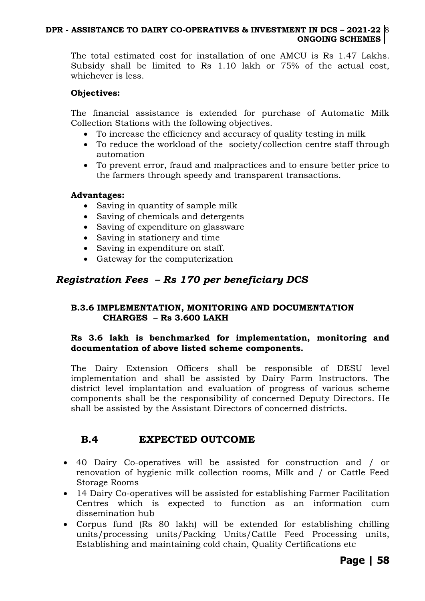#### **DPR - ASSISTANCE TO DAIRY CO-OPERATIVES & INVESTMENT IN DCS – 2021-22** 58 **ONGOING SCHEMES**

The total estimated cost for installation of one AMCU is Rs 1.47 Lakhs. Subsidy shall be limited to Rs 1.10 lakh or 75% of the actual cost, whichever is less.

#### **Objectives:**

The financial assistance is extended for purchase of Automatic Milk Collection Stations with the following objectives.

- To increase the efficiency and accuracy of quality testing in milk
- To reduce the workload of the society/collection centre staff through automation
- To prevent error, fraud and malpractices and to ensure better price to the farmers through speedy and transparent transactions.

#### **Advantages:**

- Saving in quantity of sample milk
- Saving of chemicals and detergents
- Saving of expenditure on glassware
- Saving in stationery and time
- Saving in expenditure on staff.
- Gateway for the computerization

## *Registration Fees – Rs 170 per beneficiary DCS*

### **B.3.6 IMPLEMENTATION, MONITORING AND DOCUMENTATION CHARGES – Rs 3.600 LAKH**

#### **Rs 3.6 lakh is benchmarked for implementation, monitoring and documentation of above listed scheme components.**

The Dairy Extension Officers shall be responsible of DESU level implementation and shall be assisted by Dairy Farm Instructors. The district level implantation and evaluation of progress of various scheme components shall be the responsibility of concerned Deputy Directors. He shall be assisted by the Assistant Directors of concerned districts.

## **B.4 EXPECTED OUTCOME**

- 40 Dairy Co-operatives will be assisted for construction and / or renovation of hygienic milk collection rooms, Milk and / or Cattle Feed Storage Rooms
- 14 Dairy Co-operatives will be assisted for establishing Farmer Facilitation Centres which is expected to function as an information cum dissemination hub
- Corpus fund (Rs 80 lakh) will be extended for establishing chilling units/processing units/Packing Units/Cattle Feed Processing units, Establishing and maintaining cold chain, Quality Certifications etc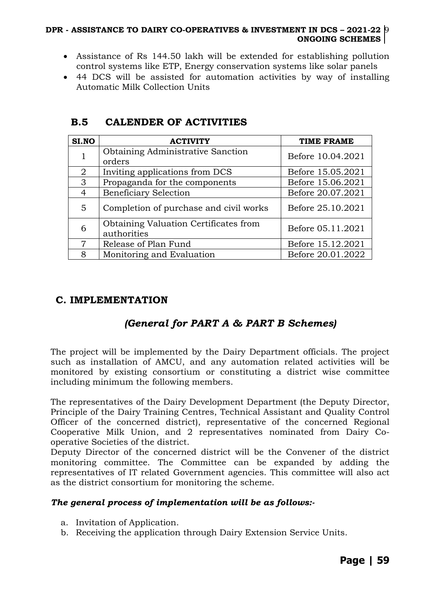#### **DPR - ASSISTANCE TO DAIRY CO-OPERATIVES & INVESTMENT IN DCS – 2021-22** 59 **ONGOING SCHEMES**

- Assistance of Rs 144.50 lakh will be extended for establishing pollution control systems like ETP, Energy conservation systems like solar panels
- 44 DCS will be assisted for automation activities by way of installing Automatic Milk Collection Units

| SI.NO          | <b>ACTIVITY</b>                                      | <b>TIME FRAME</b> |
|----------------|------------------------------------------------------|-------------------|
|                | <b>Obtaining Administrative Sanction</b><br>orders   | Before 10.04.2021 |
| $\overline{2}$ | Inviting applications from DCS                       | Before 15.05.2021 |
| $\mathfrak{Z}$ | Propaganda for the components                        | Before 15.06.2021 |
| 4              | <b>Beneficiary Selection</b>                         | Before 20.07.2021 |
| 5              | Completion of purchase and civil works               | Before 25.10.2021 |
| 6              | Obtaining Valuation Certificates from<br>authorities | Before 05.11.2021 |
| 7              | Release of Plan Fund                                 | Before 15.12.2021 |
| 8              | Monitoring and Evaluation                            | Before 20.01.2022 |

## **B.5 CALENDER OF ACTIVITIES**

## **C. IMPLEMENTATION**

## *(General for PART A & PART B Schemes)*

The project will be implemented by the Dairy Department officials. The project such as installation of AMCU, and any automation related activities will be monitored by existing consortium or constituting a district wise committee including minimum the following members.

The representatives of the Dairy Development Department (the Deputy Director, Principle of the Dairy Training Centres, Technical Assistant and Quality Control Officer of the concerned district), representative of the concerned Regional Cooperative Milk Union, and 2 representatives nominated from Dairy Cooperative Societies of the district.

Deputy Director of the concerned district will be the Convener of the district monitoring committee. The Committee can be expanded by adding the representatives of IT related Government agencies. This committee will also act as the district consortium for monitoring the scheme.

## *The general process of implementation will be as follows:-*

- a. Invitation of Application.
- b. Receiving the application through Dairy Extension Service Units.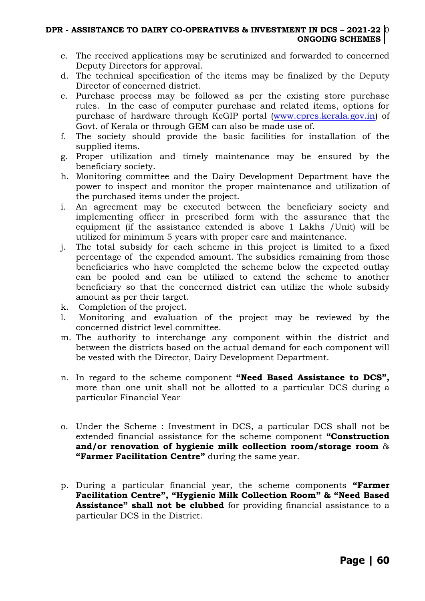#### **DPR - ASSISTANCE TO DAIRY CO-OPERATIVES & INVESTMENT IN DCS – 2021-22** 60 **ONGOING SCHEMES**

- c. The received applications may be scrutinized and forwarded to concerned Deputy Directors for approval.
- d. The technical specification of the items may be finalized by the Deputy Director of concerned district.
- e. Purchase process may be followed as per the existing store purchase rules. In the case of computer purchase and related items, options for purchase of hardware through KeGIP portal [\(www.cprcs.kerala.gov.in\)](http://www.cprcs.kerala.gov.in/) of Govt. of Kerala or through GEM can also be made use of.
- f. The society should provide the basic facilities for installation of the supplied items.
- g. Proper utilization and timely maintenance may be ensured by the beneficiary society.
- h. Monitoring committee and the Dairy Development Department have the power to inspect and monitor the proper maintenance and utilization of the purchased items under the project.
- i. An agreement may be executed between the beneficiary society and implementing officer in prescribed form with the assurance that the equipment (if the assistance extended is above 1 Lakhs /Unit) will be utilized for minimum 5 years with proper care and maintenance.
- j. The total subsidy for each scheme in this project is limited to a fixed percentage of the expended amount. The subsidies remaining from those beneficiaries who have completed the scheme below the expected outlay can be pooled and can be utilized to extend the scheme to another beneficiary so that the concerned district can utilize the whole subsidy amount as per their target.
- k. Completion of the project.
- l. Monitoring and evaluation of the project may be reviewed by the concerned district level committee.
- m. The authority to interchange any component within the district and between the districts based on the actual demand for each component will be vested with the Director, Dairy Development Department.
- n. In regard to the scheme component **"Need Based Assistance to DCS",** more than one unit shall not be allotted to a particular DCS during a particular Financial Year
- o. Under the Scheme : Investment in DCS, a particular DCS shall not be extended financial assistance for the scheme component **"Construction and/or renovation of hygienic milk collection room/storage room** & **"Farmer Facilitation Centre"** during the same year.
- p. During a particular financial year, the scheme components **"Farmer Facilitation Centre", "Hygienic Milk Collection Room" & "Need Based Assistance" shall not be clubbed** for providing financial assistance to a particular DCS in the District.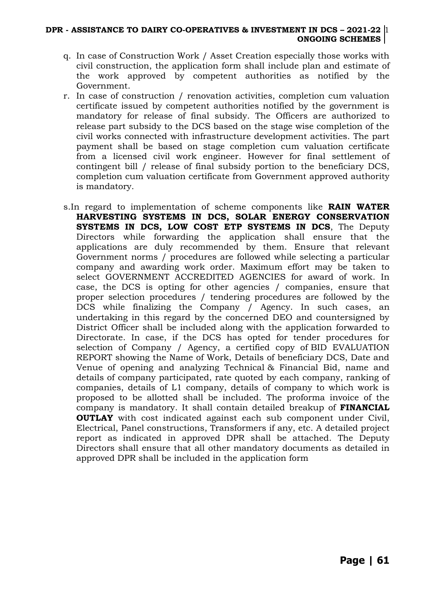#### **DPR - ASSISTANCE TO DAIRY CO-OPERATIVES & INVESTMENT IN DCS – 2021-22** 61 **ONGOING SCHEMES**

- q. In case of Construction Work / Asset Creation especially those works with civil construction, the application form shall include plan and estimate of the work approved by competent authorities as notified by the Government.
- r. In case of construction / renovation activities, completion cum valuation certificate issued by competent authorities notified by the government is mandatory for release of final subsidy. The Officers are authorized to release part subsidy to the DCS based on the stage wise completion of the civil works connected with infrastructure development activities. The part payment shall be based on stage completion cum valuation certificate from a licensed civil work engineer. However for final settlement of contingent bill / release of final subsidy portion to the beneficiary DCS, completion cum valuation certificate from Government approved authority is mandatory.
- s.In regard to implementation of scheme components like **RAIN WATER HARVESTING SYSTEMS IN DCS, SOLAR ENERGY CONSERVATION SYSTEMS IN DCS, LOW COST ETP SYSTEMS IN DCS**, The Deputy Directors while forwarding the application shall ensure that the applications are duly recommended by them. Ensure that relevant Government norms / procedures are followed while selecting a particular company and awarding work order. Maximum effort may be taken to select GOVERNMENT ACCREDITED AGENCIES for award of work. In case, the DCS is opting for other agencies / companies, ensure that proper selection procedures / tendering procedures are followed by the DCS while finalizing the Company / Agency. In such cases, an undertaking in this regard by the concerned DEO and countersigned by District Officer shall be included along with the application forwarded to Directorate. In case, if the DCS has opted for tender procedures for selection of Company / Agency, a certified copy of BID EVALUATION REPORT showing the Name of Work, Details of beneficiary DCS, Date and Venue of opening and analyzing Technical & Financial Bid, name and details of company participated, rate quoted by each company, ranking of companies, details of L1 company, details of company to which work is proposed to be allotted shall be included. The proforma invoice of the company is mandatory. It shall contain detailed breakup of **FINANCIAL OUTLAY** with cost indicated against each sub component under Civil, Electrical, Panel constructions, Transformers if any, etc. A detailed project report as indicated in approved DPR shall be attached. The Deputy Directors shall ensure that all other mandatory documents as detailed in approved DPR shall be included in the application form